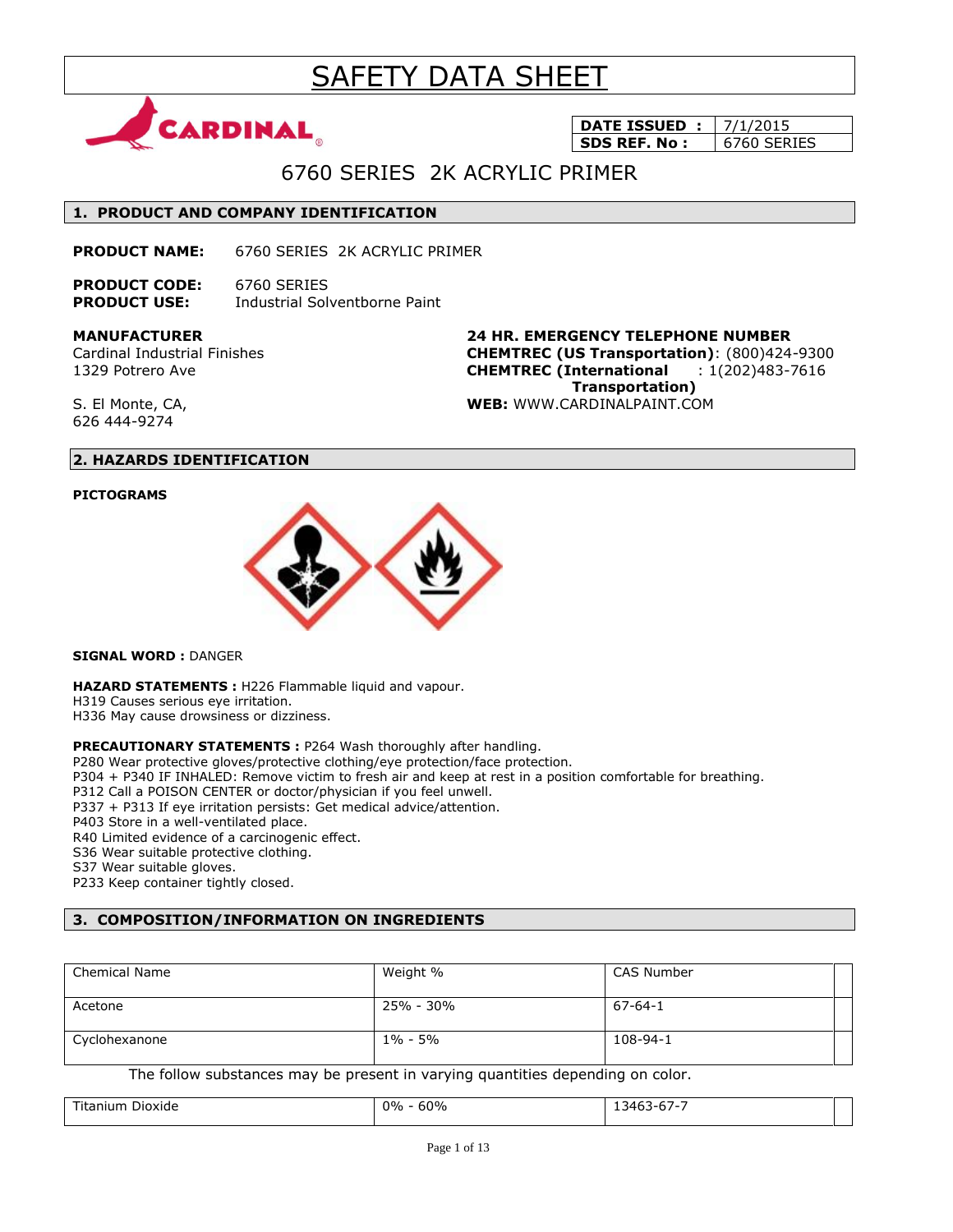# SAFETY DATA SHEET



**DATE ISSUED : 7/1/2015 SDS REF. No :** 6760 SERIES

# 6760 SERIES 2K ACRYLIC PRIMER

# **1. PRODUCT AND COMPANY IDENTIFICATION**

**PRODUCT NAME:** 6760 SERIES 2K ACRYLIC PRIMER

**PRODUCT CODE:** 6760 SERIES **PRODUCT USE:** Industrial Solventborne Paint

**MANUFACTURER**

Cardinal Industrial Finishes 1329 Potrero Ave

**24 HR. EMERGENCY TELEPHONE NUMBER CHEMTREC (US Transportation)**: (800)424-9300 **CHEMTREC (International** : 1(202)483-7616  **Transportation) WEB:** WWW.CARDINALPAINT.COM

S. El Monte, CA, 626 444-9274

# **2. HAZARDS IDENTIFICATION**

### **PICTOGRAMS**



**SIGNAL WORD :** DANGER

**HAZARD STATEMENTS :** H226 Flammable liquid and vapour. H319 Causes serious eye irritation. H336 May cause drowsiness or dizziness.

**PRECAUTIONARY STATEMENTS :** P264 Wash thoroughly after handling.

P280 Wear protective gloves/protective clothing/eye protection/face protection.

P304 + P340 IF INHALED: Remove victim to fresh air and keep at rest in a position comfortable for breathing.

P312 Call a POISON CENTER or doctor/physician if you feel unwell.

P337 + P313 If eye irritation persists: Get medical advice/attention.

P403 Store in a well-ventilated place.

R40 Limited evidence of a carcinogenic effect.

S36 Wear suitable protective clothing.

S37 Wear suitable gloves.

P233 Keep container tightly closed.

# **3. COMPOSITION/INFORMATION ON INGREDIENTS**

| <b>Chemical Name</b> | Weight %    | CAS Number    |
|----------------------|-------------|---------------|
| Acetone              | 25% - 30%   | $67 - 64 - 1$ |
| Cyclohexanone        | $1\% - 5\%$ | 108-94-1      |

The follow substances may be present in varying quantities depending on color.

| 60%<br>$0\%$<br>-- -<br>Titanium Dioxide<br>$\sim$<br>$13463 -$<br>3-67- |  |
|--------------------------------------------------------------------------|--|
|--------------------------------------------------------------------------|--|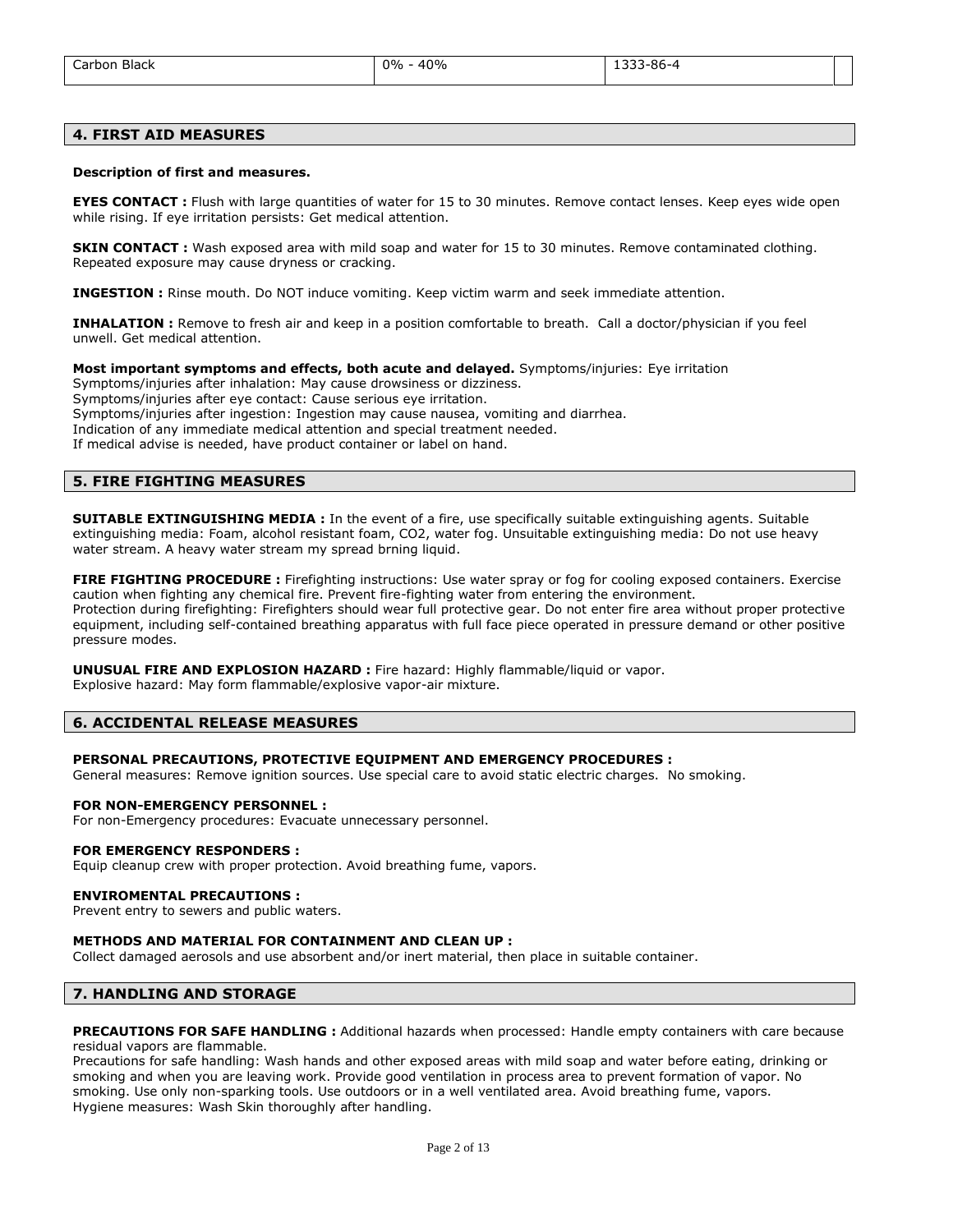| $\sim$<br>Black<br>Carbon<br>_ _ _ _ _ | ገ%<br>40%<br>$\sim$ $\sim$ | $3 - 86 - 7$<br>------<br>______ |  |
|----------------------------------------|----------------------------|----------------------------------|--|
|                                        |                            |                                  |  |

### **4. FIRST AID MEASURES**

### **Description of first and measures.**

**EYES CONTACT :** Flush with large quantities of water for 15 to 30 minutes. Remove contact lenses. Keep eyes wide open while rising. If eye irritation persists: Get medical attention.

**SKIN CONTACT :** Wash exposed area with mild soap and water for 15 to 30 minutes. Remove contaminated clothing. Repeated exposure may cause dryness or cracking.

**INGESTION :** Rinse mouth. Do NOT induce vomiting. Keep victim warm and seek immediate attention.

**INHALATION :** Remove to fresh air and keep in a position comfortable to breath. Call a doctor/physician if you feel unwell. Get medical attention.

**Most important symptoms and effects, both acute and delayed.** Symptoms/injuries: Eye irritation Symptoms/injuries after inhalation: May cause drowsiness or dizziness. Symptoms/injuries after eye contact: Cause serious eye irritation. Symptoms/injuries after ingestion: Ingestion may cause nausea, vomiting and diarrhea. Indication of any immediate medical attention and special treatment needed. If medical advise is needed, have product container or label on hand.

# **5. FIRE FIGHTING MEASURES**

**SUITABLE EXTINGUISHING MEDIA :** In the event of a fire, use specifically suitable extinguishing agents. Suitable extinguishing media: Foam, alcohol resistant foam, CO2, water fog. Unsuitable extinguishing media: Do not use heavy water stream. A heavy water stream my spread brning liquid.

**FIRE FIGHTING PROCEDURE :** Firefighting instructions: Use water spray or fog for cooling exposed containers. Exercise caution when fighting any chemical fire. Prevent fire-fighting water from entering the environment. Protection during firefighting: Firefighters should wear full protective gear. Do not enter fire area without proper protective equipment, including self-contained breathing apparatus with full face piece operated in pressure demand or other positive pressure modes.

**UNUSUAL FIRE AND EXPLOSION HAZARD :** Fire hazard: Highly flammable/liquid or vapor. Explosive hazard: May form flammable/explosive vapor-air mixture.

### **6. ACCIDENTAL RELEASE MEASURES**

### **PERSONAL PRECAUTIONS, PROTECTIVE EQUIPMENT AND EMERGENCY PROCEDURES :**

General measures: Remove ignition sources. Use special care to avoid static electric charges. No smoking.

### **FOR NON-EMERGENCY PERSONNEL :**

For non-Emergency procedures: Evacuate unnecessary personnel.

### **FOR EMERGENCY RESPONDERS :**

Equip cleanup crew with proper protection. Avoid breathing fume, vapors.

### **ENVIROMENTAL PRECAUTIONS :**

Prevent entry to sewers and public waters.

### **METHODS AND MATERIAL FOR CONTAINMENT AND CLEAN UP :**

Collect damaged aerosols and use absorbent and/or inert material, then place in suitable container.

### **7. HANDLING AND STORAGE**

**PRECAUTIONS FOR SAFE HANDLING :** Additional hazards when processed: Handle empty containers with care because residual vapors are flammable.

Precautions for safe handling: Wash hands and other exposed areas with mild soap and water before eating, drinking or smoking and when you are leaving work. Provide good ventilation in process area to prevent formation of vapor. No smoking. Use only non-sparking tools. Use outdoors or in a well ventilated area. Avoid breathing fume, vapors. Hygiene measures: Wash Skin thoroughly after handling.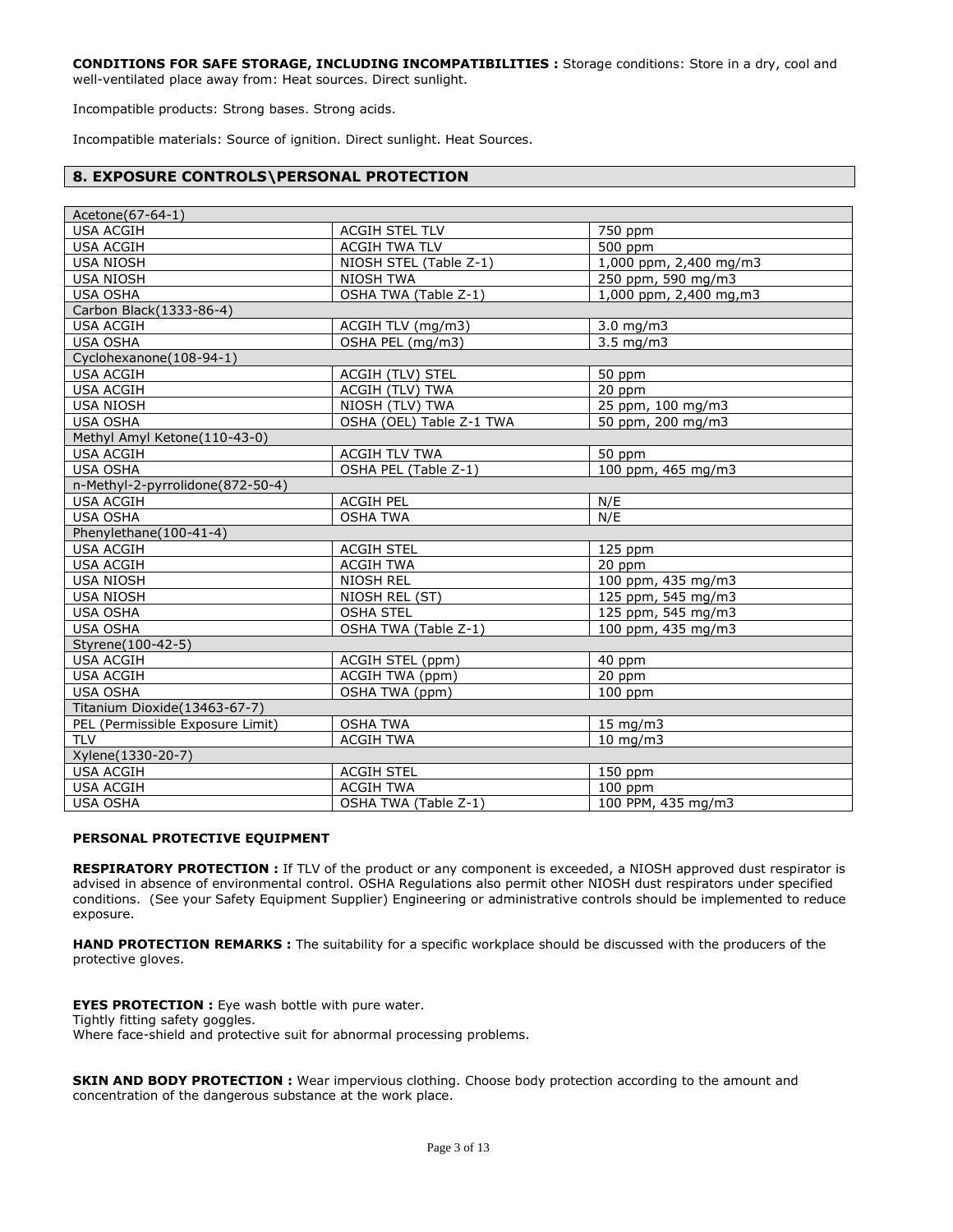**CONDITIONS FOR SAFE STORAGE, INCLUDING INCOMPATIBILITIES :** Storage conditions: Store in a dry, cool and well-ventilated place away from: Heat sources. Direct sunlight.

Incompatible products: Strong bases. Strong acids.

Incompatible materials: Source of ignition. Direct sunlight. Heat Sources.

### **8. EXPOSURE CONTROLS\PERSONAL PROTECTION**

| Acetone(67-64-1)                 |                          |                        |
|----------------------------------|--------------------------|------------------------|
| <b>USA ACGIH</b>                 | <b>ACGIH STEL TLV</b>    | 750 ppm                |
| <b>USA ACGIH</b>                 | <b>ACGIH TWA TLV</b>     | 500 ppm                |
| <b>USA NIOSH</b>                 | NIOSH STEL (Table Z-1)   | 1,000 ppm, 2,400 mg/m3 |
| <b>USA NIOSH</b>                 | <b>NIOSH TWA</b>         | 250 ppm, 590 mg/m3     |
| <b>USA OSHA</b>                  | OSHA TWA (Table Z-1)     | 1,000 ppm, 2,400 mg,m3 |
| Carbon Black(1333-86-4)          |                          |                        |
| <b>USA ACGIH</b>                 | ACGIH TLV (mg/m3)        | $3.0$ mg/m $3$         |
| <b>USA OSHA</b>                  | OSHA PEL (mg/m3)         | $3.5 \text{ mg/m}$     |
| Cyclohexanone(108-94-1)          |                          |                        |
| <b>USA ACGIH</b>                 | ACGIH (TLV) STEL         | 50 ppm                 |
| <b>USA ACGIH</b>                 | ACGIH (TLV) TWA          | 20 ppm                 |
| <b>USA NIOSH</b>                 | NIOSH (TLV) TWA          | 25 ppm, 100 mg/m3      |
| <b>USA OSHA</b>                  | OSHA (OEL) Table Z-1 TWA | 50 ppm, 200 mg/m3      |
| Methyl Amyl Ketone(110-43-0)     |                          |                        |
| <b>USA ACGIH</b>                 | <b>ACGIH TLV TWA</b>     | 50 ppm                 |
| <b>USA OSHA</b>                  | OSHA PEL (Table Z-1)     | 100 ppm, 465 mg/m3     |
| n-Methyl-2-pyrrolidone(872-50-4) |                          |                        |
| <b>USA ACGIH</b>                 | <b>ACGIH PEL</b>         | N/E                    |
| <b>USA OSHA</b>                  | <b>OSHA TWA</b>          | N/E                    |
| Phenylethane(100-41-4)           |                          |                        |
| <b>USA ACGIH</b>                 | <b>ACGIH STEL</b>        | 125 ppm                |
| <b>USA ACGIH</b>                 | <b>ACGIH TWA</b>         | 20 ppm                 |
| <b>USA NIOSH</b>                 | <b>NIOSH REL</b>         | 100 ppm, 435 mg/m3     |
| <b>USA NIOSH</b>                 | NIOSH REL (ST)           | 125 ppm, 545 mg/m3     |
| <b>USA OSHA</b>                  | <b>OSHA STEL</b>         | 125 ppm, 545 mg/m3     |
| <b>USA OSHA</b>                  | OSHA TWA (Table Z-1)     | 100 ppm, 435 mg/m3     |
| Styrene(100-42-5)                |                          |                        |
| <b>USA ACGIH</b>                 | ACGIH STEL (ppm)         | 40 ppm                 |
| <b>USA ACGIH</b>                 | ACGIH TWA (ppm)          | 20 ppm                 |
| <b>USA OSHA</b>                  | OSHA TWA (ppm)           | 100 ppm                |
| Titanium Dioxide(13463-67-7)     |                          |                        |
| PEL (Permissible Exposure Limit) | <b>OSHA TWA</b>          | 15 mg/m3               |
| <b>TLV</b>                       | <b>ACGIH TWA</b>         | $10 \text{ mg/m}$      |
| Xylene(1330-20-7)                |                          |                        |
| <b>USA ACGIH</b>                 | <b>ACGIH STEL</b>        | 150 ppm                |
| <b>USA ACGIH</b>                 | <b>ACGIH TWA</b>         | 100 ppm                |
| <b>USA OSHA</b>                  | OSHA TWA (Table Z-1)     | 100 PPM, 435 mg/m3     |

### **PERSONAL PROTECTIVE EQUIPMENT**

**RESPIRATORY PROTECTION :** If TLV of the product or any component is exceeded, a NIOSH approved dust respirator is advised in absence of environmental control. OSHA Regulations also permit other NIOSH dust respirators under specified conditions. (See your Safety Equipment Supplier) Engineering or administrative controls should be implemented to reduce exposure.

**HAND PROTECTION REMARKS :** The suitability for a specific workplace should be discussed with the producers of the protective gloves.

**EYES PROTECTION :** Eye wash bottle with pure water. Tightly fitting safety goggles. Where face-shield and protective suit for abnormal processing problems.

**SKIN AND BODY PROTECTION :** Wear impervious clothing. Choose body protection according to the amount and concentration of the dangerous substance at the work place.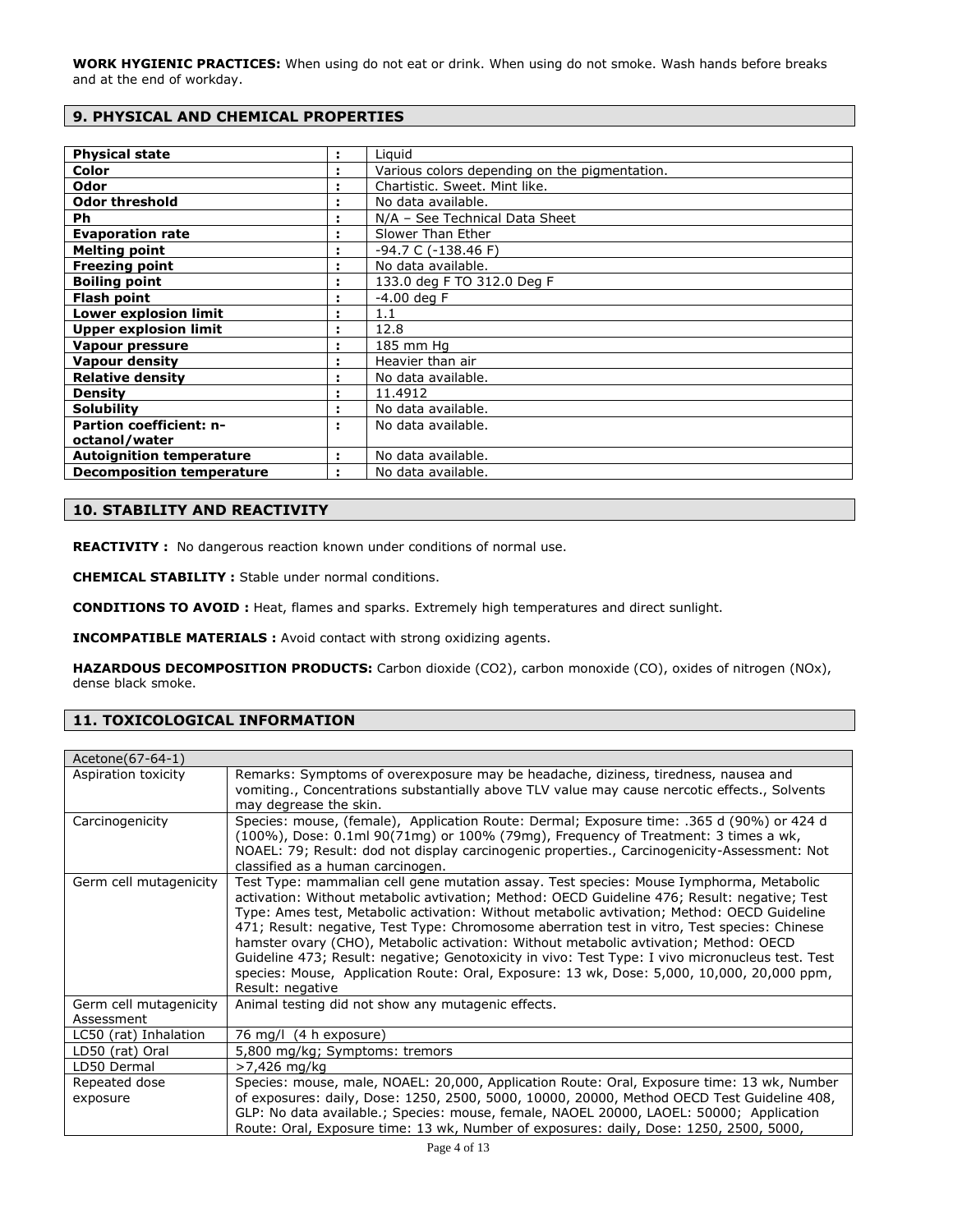**WORK HYGIENIC PRACTICES:** When using do not eat or drink. When using do not smoke. Wash hands before breaks and at the end of workday.

# **9. PHYSICAL AND CHEMICAL PROPERTIES**

| <b>Physical state</b>            | ÷. | Liguid                                        |
|----------------------------------|----|-----------------------------------------------|
| Color                            | ÷  | Various colors depending on the pigmentation. |
| Odor                             |    | Chartistic. Sweet. Mint like.                 |
| <b>Odor threshold</b>            |    | No data available.                            |
| Ph                               |    | N/A - See Technical Data Sheet                |
| <b>Evaporation rate</b>          |    | Slower Than Ether                             |
| <b>Melting point</b>             |    | $-94.7 C (-138.46 F)$                         |
| <b>Freezing point</b>            |    | No data available.                            |
| <b>Boiling point</b>             |    | 133.0 deg F TO 312.0 Deg F                    |
| <b>Flash point</b>               |    | $-4.00$ deg F                                 |
| <b>Lower explosion limit</b>     |    | 1.1                                           |
| <b>Upper explosion limit</b>     |    | 12.8                                          |
| Vapour pressure                  |    | 185 mm Hg                                     |
| Vapour density                   |    | Heavier than air                              |
| <b>Relative density</b>          |    | No data available.                            |
| <b>Density</b>                   |    | 11.4912                                       |
| <b>Solubility</b>                |    | No data available.                            |
| <b>Partion coefficient: n-</b>   | ÷. | No data available.                            |
| octanol/water                    |    |                                               |
| <b>Autoignition temperature</b>  | ÷  | No data available.                            |
| <b>Decomposition temperature</b> |    | No data available.                            |

# **10. STABILITY AND REACTIVITY**

**REACTIVITY :** No dangerous reaction known under conditions of normal use.

**CHEMICAL STABILITY :** Stable under normal conditions.

**CONDITIONS TO AVOID :** Heat, flames and sparks. Extremely high temperatures and direct sunlight.

**INCOMPATIBLE MATERIALS :** Avoid contact with strong oxidizing agents.

**HAZARDOUS DECOMPOSITION PRODUCTS:** Carbon dioxide (CO2), carbon monoxide (CO), oxides of nitrogen (NOx), dense black smoke.

# **11. TOXICOLOGICAL INFORMATION**

| Acetone (67-64-1)                    |                                                                                                                                                                                                                                                                                                                                                                                                                                                                                                                                                                                                                                                                                                       |
|--------------------------------------|-------------------------------------------------------------------------------------------------------------------------------------------------------------------------------------------------------------------------------------------------------------------------------------------------------------------------------------------------------------------------------------------------------------------------------------------------------------------------------------------------------------------------------------------------------------------------------------------------------------------------------------------------------------------------------------------------------|
| Aspiration toxicity                  | Remarks: Symptoms of overexposure may be headache, diziness, tiredness, nausea and<br>vomiting., Concentrations substantially above TLV value may cause nercotic effects., Solvents                                                                                                                                                                                                                                                                                                                                                                                                                                                                                                                   |
|                                      | may degrease the skin.                                                                                                                                                                                                                                                                                                                                                                                                                                                                                                                                                                                                                                                                                |
| Carcinogenicity                      | Species: mouse, (female), Application Route: Dermal; Exposure time: .365 d (90%) or 424 d<br>$(100\%)$ , Dose: 0.1ml 90(71mg) or 100% (79mg), Frequency of Treatment: 3 times a wk,<br>NOAEL: 79; Result: dod not display carcinogenic properties., Carcinogenicity-Assessment: Not<br>classified as a human carcinogen.                                                                                                                                                                                                                                                                                                                                                                              |
| Germ cell mutagenicity               | Test Type: mammalian cell gene mutation assay. Test species: Mouse Iymphorma, Metabolic<br>activation: Without metabolic avtivation; Method: OECD Guideline 476; Result: negative; Test<br>Type: Ames test, Metabolic activation: Without metabolic avtivation; Method: OECD Guideline<br>471; Result: negative, Test Type: Chromosome aberration test in vitro, Test species: Chinese<br>hamster ovary (CHO), Metabolic activation: Without metabolic avtivation; Method: OECD<br>Guideline 473; Result: negative; Genotoxicity in vivo: Test Type: I vivo micronucleus test. Test<br>species: Mouse, Application Route: Oral, Exposure: 13 wk, Dose: 5,000, 10,000, 20,000 ppm,<br>Result: negative |
| Germ cell mutagenicity<br>Assessment | Animal testing did not show any mutagenic effects.                                                                                                                                                                                                                                                                                                                                                                                                                                                                                                                                                                                                                                                    |
| LC50 (rat) Inhalation                | 76 mg/l (4 h exposure)                                                                                                                                                                                                                                                                                                                                                                                                                                                                                                                                                                                                                                                                                |
| LD50 (rat) Oral                      | 5,800 mg/kg; Symptoms: tremors                                                                                                                                                                                                                                                                                                                                                                                                                                                                                                                                                                                                                                                                        |
| LD50 Dermal                          | >7,426 mg/kg                                                                                                                                                                                                                                                                                                                                                                                                                                                                                                                                                                                                                                                                                          |
| Repeated dose<br>exposure            | Species: mouse, male, NOAEL: 20,000, Application Route: Oral, Exposure time: 13 wk, Number<br>of exposures: daily, Dose: 1250, 2500, 5000, 10000, 20000, Method OECD Test Guideline 408,<br>GLP: No data available.; Species: mouse, female, NAOEL 20000, LAOEL: 50000; Application<br>Route: Oral, Exposure time: 13 wk, Number of exposures: daily, Dose: 1250, 2500, 5000,                                                                                                                                                                                                                                                                                                                         |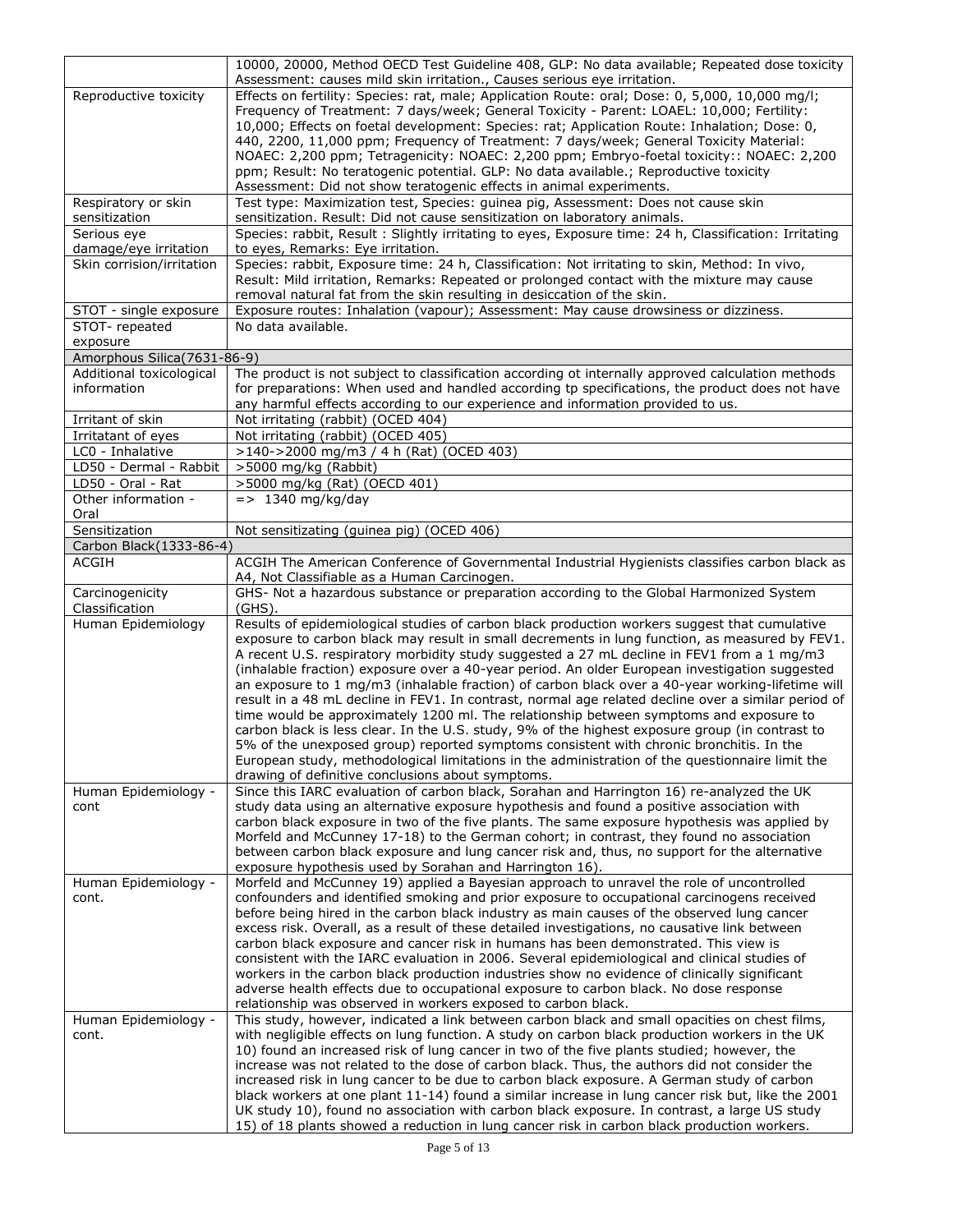|                                                         | 10000, 20000, Method OECD Test Guideline 408, GLP: No data available; Repeated dose toxicity<br>Assessment: causes mild skin irritation., Causes serious eye irritation.                           |
|---------------------------------------------------------|----------------------------------------------------------------------------------------------------------------------------------------------------------------------------------------------------|
| Reproductive toxicity                                   | Effects on fertility: Species: rat, male; Application Route: oral; Dose: 0, 5,000, 10,000 mg/l;                                                                                                    |
|                                                         | Frequency of Treatment: 7 days/week; General Toxicity - Parent: LOAEL: 10,000; Fertility:                                                                                                          |
|                                                         | 10,000; Effects on foetal development: Species: rat; Application Route: Inhalation; Dose: 0,<br>440, 2200, 11,000 ppm; Frequency of Treatment: 7 days/week; General Toxicity Material:             |
|                                                         | NOAEC: 2,200 ppm; Tetragenicity: NOAEC: 2,200 ppm; Embryo-foetal toxicity:: NOAEC: 2,200                                                                                                           |
|                                                         | ppm; Result: No teratogenic potential. GLP: No data available.; Reproductive toxicity                                                                                                              |
|                                                         | Assessment: Did not show teratogenic effects in animal experiments.                                                                                                                                |
| Respiratory or skin<br>sensitization                    | Test type: Maximization test, Species: guinea pig, Assessment: Does not cause skin<br>sensitization. Result: Did not cause sensitization on laboratory animals.                                    |
| Serious eye                                             | Species: rabbit, Result: Slightly irritating to eyes, Exposure time: 24 h, Classification: Irritating                                                                                              |
| damage/eye irritation                                   | to eyes, Remarks: Eye irritation.                                                                                                                                                                  |
| Skin corrision/irritation                               | Species: rabbit, Exposure time: 24 h, Classification: Not irritating to skin, Method: In vivo,                                                                                                     |
|                                                         | Result: Mild irritation, Remarks: Repeated or prolonged contact with the mixture may cause<br>removal natural fat from the skin resulting in desiccation of the skin.                              |
| STOT - single exposure                                  | Exposure routes: Inhalation (vapour); Assessment: May cause drowsiness or dizziness.                                                                                                               |
| STOT-repeated                                           | No data available.                                                                                                                                                                                 |
| exposure                                                |                                                                                                                                                                                                    |
| Amorphous Silica(7631-86-9)<br>Additional toxicological | The product is not subject to classification according ot internally approved calculation methods                                                                                                  |
| information                                             | for preparations: When used and handled according tp specifications, the product does not have                                                                                                     |
|                                                         | any harmful effects according to our experience and information provided to us.                                                                                                                    |
| Irritant of skin                                        | Not irritating (rabbit) (OCED 404)                                                                                                                                                                 |
| Irritatant of eyes<br>LC0 - Inhalative                  | Not irritating (rabbit) (OCED 405)<br>>140->2000 mg/m3 / 4 h (Rat) (OCED 403)                                                                                                                      |
| LD50 - Dermal - Rabbit                                  | >5000 mg/kg (Rabbit)                                                                                                                                                                               |
| LD50 - Oral - Rat                                       | >5000 mg/kg (Rat) (OECD 401)                                                                                                                                                                       |
| Other information -                                     | $=$ > 1340 mg/kg/day                                                                                                                                                                               |
| Oral                                                    |                                                                                                                                                                                                    |
| Sensitization<br>Carbon Black(1333-86-4)                | Not sensitizating (guinea pig) (OCED 406)                                                                                                                                                          |
| <b>ACGIH</b>                                            | ACGIH The American Conference of Governmental Industrial Hygienists classifies carbon black as                                                                                                     |
|                                                         | A4, Not Classifiable as a Human Carcinogen.                                                                                                                                                        |
| Carcinogenicity<br>Classification                       | GHS- Not a hazardous substance or preparation according to the Global Harmonized System                                                                                                            |
| Human Epidemiology                                      | (GHS).<br>Results of epidemiological studies of carbon black production workers suggest that cumulative                                                                                            |
|                                                         | exposure to carbon black may result in small decrements in lung function, as measured by FEV1.                                                                                                     |
|                                                         | A recent U.S. respiratory morbidity study suggested a 27 mL decline in FEV1 from a 1 mg/m3                                                                                                         |
|                                                         | (inhalable fraction) exposure over a 40-year period. An older European investigation suggested<br>an exposure to 1 mg/m3 (inhalable fraction) of carbon black over a 40-year working-lifetime will |
|                                                         | result in a 48 mL decline in FEV1. In contrast, normal age related decline over a similar period of                                                                                                |
|                                                         | time would be approximately 1200 ml. The relationship between symptoms and exposure to                                                                                                             |
|                                                         | carbon black is less clear. In the U.S. study, 9% of the highest exposure group (in contrast to<br>5% of the unexposed group) reported symptoms consistent with chronic bronchitis. In the         |
|                                                         | European study, methodological limitations in the administration of the questionnaire limit the                                                                                                    |
|                                                         | drawing of definitive conclusions about symptoms.                                                                                                                                                  |
| Human Epidemiology -                                    | Since this IARC evaluation of carbon black, Sorahan and Harrington 16) re-analyzed the UK                                                                                                          |
| cont                                                    | study data using an alternative exposure hypothesis and found a positive association with<br>carbon black exposure in two of the five plants. The same exposure hypothesis was applied by          |
|                                                         | Morfeld and McCunney 17-18) to the German cohort; in contrast, they found no association                                                                                                           |
|                                                         | between carbon black exposure and lung cancer risk and, thus, no support for the alternative                                                                                                       |
| Human Epidemiology -                                    | exposure hypothesis used by Sorahan and Harrington 16).<br>Morfeld and McCunney 19) applied a Bayesian approach to unravel the role of uncontrolled                                                |
| cont.                                                   | confounders and identified smoking and prior exposure to occupational carcinogens received                                                                                                         |
|                                                         | before being hired in the carbon black industry as main causes of the observed lung cancer                                                                                                         |
|                                                         | excess risk. Overall, as a result of these detailed investigations, no causative link between                                                                                                      |
|                                                         | carbon black exposure and cancer risk in humans has been demonstrated. This view is<br>consistent with the IARC evaluation in 2006. Several epidemiological and clinical studies of                |
|                                                         | workers in the carbon black production industries show no evidence of clinically significant                                                                                                       |
|                                                         | adverse health effects due to occupational exposure to carbon black. No dose response                                                                                                              |
| Human Epidemiology -                                    | relationship was observed in workers exposed to carbon black.<br>This study, however, indicated a link between carbon black and small opacities on chest films,                                    |
| cont.                                                   | with negligible effects on lung function. A study on carbon black production workers in the UK                                                                                                     |
|                                                         | 10) found an increased risk of lung cancer in two of the five plants studied; however, the                                                                                                         |
|                                                         | increase was not related to the dose of carbon black. Thus, the authors did not consider the<br>increased risk in lung cancer to be due to carbon black exposure. A German study of carbon         |
|                                                         | black workers at one plant 11-14) found a similar increase in lung cancer risk but, like the 2001                                                                                                  |
|                                                         | UK study 10), found no association with carbon black exposure. In contrast, a large US study                                                                                                       |
|                                                         | 15) of 18 plants showed a reduction in lung cancer risk in carbon black production workers.                                                                                                        |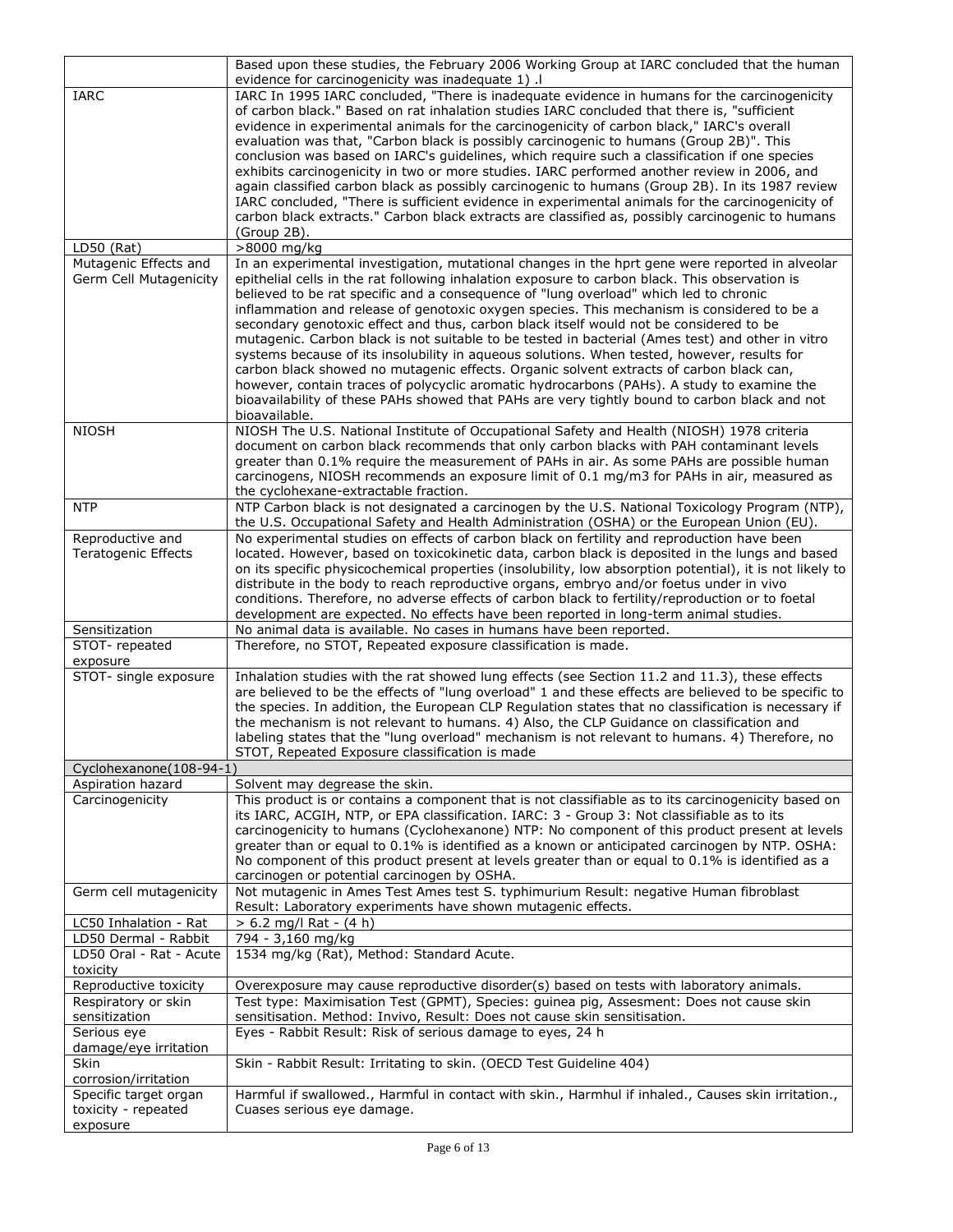|                                      | Based upon these studies, the February 2006 Working Group at IARC concluded that the human<br>evidence for carcinogenicity was inadequate 1) .I                                                     |
|--------------------------------------|-----------------------------------------------------------------------------------------------------------------------------------------------------------------------------------------------------|
| IARC                                 | IARC In 1995 IARC concluded, "There is inadequate evidence in humans for the carcinogenicity                                                                                                        |
|                                      | of carbon black." Based on rat inhalation studies IARC concluded that there is, "sufficient                                                                                                         |
|                                      | evidence in experimental animals for the carcinogenicity of carbon black," IARC's overall                                                                                                           |
|                                      | evaluation was that, "Carbon black is possibly carcinogenic to humans (Group 2B)". This                                                                                                             |
|                                      | conclusion was based on IARC's guidelines, which require such a classification if one species                                                                                                       |
|                                      | exhibits carcinogenicity in two or more studies. IARC performed another review in 2006, and                                                                                                         |
|                                      | again classified carbon black as possibly carcinogenic to humans (Group 2B). In its 1987 review<br>IARC concluded, "There is sufficient evidence in experimental animals for the carcinogenicity of |
|                                      | carbon black extracts." Carbon black extracts are classified as, possibly carcinogenic to humans                                                                                                    |
|                                      | (Group 2B).                                                                                                                                                                                         |
| LD50 (Rat)                           | >8000 mg/kg                                                                                                                                                                                         |
| Mutagenic Effects and                | In an experimental investigation, mutational changes in the hprt gene were reported in alveolar                                                                                                     |
| Germ Cell Mutagenicity               | epithelial cells in the rat following inhalation exposure to carbon black. This observation is                                                                                                      |
|                                      | believed to be rat specific and a consequence of "lung overload" which led to chronic                                                                                                               |
|                                      | inflammation and release of genotoxic oxygen species. This mechanism is considered to be a<br>secondary genotoxic effect and thus, carbon black itself would not be considered to be                |
|                                      | mutagenic. Carbon black is not suitable to be tested in bacterial (Ames test) and other in vitro                                                                                                    |
|                                      | systems because of its insolubility in aqueous solutions. When tested, however, results for                                                                                                         |
|                                      | carbon black showed no mutagenic effects. Organic solvent extracts of carbon black can,                                                                                                             |
|                                      | however, contain traces of polycyclic aromatic hydrocarbons (PAHs). A study to examine the                                                                                                          |
|                                      | bioavailability of these PAHs showed that PAHs are very tightly bound to carbon black and not                                                                                                       |
| <b>NIOSH</b>                         | bioavailable.                                                                                                                                                                                       |
|                                      | NIOSH The U.S. National Institute of Occupational Safety and Health (NIOSH) 1978 criteria<br>document on carbon black recommends that only carbon blacks with PAH contaminant levels                |
|                                      | greater than 0.1% require the measurement of PAHs in air. As some PAHs are possible human                                                                                                           |
|                                      | carcinogens, NIOSH recommends an exposure limit of 0.1 mg/m3 for PAHs in air, measured as                                                                                                           |
|                                      | the cyclohexane-extractable fraction.                                                                                                                                                               |
| <b>NTP</b>                           | NTP Carbon black is not designated a carcinogen by the U.S. National Toxicology Program (NTP),                                                                                                      |
| Reproductive and                     | the U.S. Occupational Safety and Health Administration (OSHA) or the European Union (EU).<br>No experimental studies on effects of carbon black on fertility and reproduction have been             |
| <b>Teratogenic Effects</b>           | located. However, based on toxicokinetic data, carbon black is deposited in the lungs and based                                                                                                     |
|                                      | on its specific physicochemical properties (insolubility, low absorption potential), it is not likely to                                                                                            |
|                                      | distribute in the body to reach reproductive organs, embryo and/or foetus under in vivo                                                                                                             |
|                                      | conditions. Therefore, no adverse effects of carbon black to fertility/reproduction or to foetal                                                                                                    |
|                                      | development are expected. No effects have been reported in long-term animal studies.                                                                                                                |
| Sensitization<br>STOT- repeated      | No animal data is available. No cases in humans have been reported.<br>Therefore, no STOT, Repeated exposure classification is made.                                                                |
| exposure                             |                                                                                                                                                                                                     |
| STOT- single exposure                | Inhalation studies with the rat showed lung effects (see Section 11.2 and 11.3), these effects                                                                                                      |
|                                      | are believed to be the effects of "lung overload" 1 and these effects are believed to be specific to                                                                                                |
|                                      | the species. In addition, the European CLP Regulation states that no classification is necessary if                                                                                                 |
|                                      | the mechanism is not relevant to humans. 4) Also, the CLP Guidance on classification and                                                                                                            |
|                                      | labeling states that the "lung overload" mechanism is not relevant to humans. 4) Therefore, no<br>STOT, Repeated Exposure classification is made                                                    |
| Cyclohexanone(108-94-1)              |                                                                                                                                                                                                     |
| Aspiration hazard                    | Solvent may degrease the skin.                                                                                                                                                                      |
| Carcinogenicity                      | This product is or contains a component that is not classifiable as to its carcinogenicity based on                                                                                                 |
|                                      | its IARC, ACGIH, NTP, or EPA classification. IARC: 3 - Group 3: Not classifiable as to its                                                                                                          |
|                                      | carcinogenicity to humans (Cyclohexanone) NTP: No component of this product present at levels<br>greater than or equal to 0.1% is identified as a known or anticipated carcinogen by NTP. OSHA:     |
|                                      | No component of this product present at levels greater than or equal to 0.1% is identified as a                                                                                                     |
|                                      | carcinogen or potential carcinogen by OSHA.                                                                                                                                                         |
| Germ cell mutagenicity               | Not mutagenic in Ames Test Ames test S. typhimurium Result: negative Human fibroblast                                                                                                               |
|                                      | Result: Laboratory experiments have shown mutagenic effects.                                                                                                                                        |
| LC50 Inhalation - Rat                | $> 6.2$ mg/l Rat - (4 h)                                                                                                                                                                            |
| LD50 Dermal - Rabbit                 | 794 - 3,160 mg/kg                                                                                                                                                                                   |
| LD50 Oral - Rat - Acute<br>toxicity  | 1534 mg/kg (Rat), Method: Standard Acute.                                                                                                                                                           |
| Reproductive toxicity                | Overexposure may cause reproductive disorder(s) based on tests with laboratory animals.                                                                                                             |
| Respiratory or skin                  | Test type: Maximisation Test (GPMT), Species: guinea pig, Assesment: Does not cause skin                                                                                                            |
| sensitization                        | sensitisation. Method: Invivo, Result: Does not cause skin sensitisation.                                                                                                                           |
| Serious eye                          | Eyes - Rabbit Result: Risk of serious damage to eyes, 24 h                                                                                                                                          |
| damage/eye irritation<br><b>Skin</b> | Skin - Rabbit Result: Irritating to skin. (OECD Test Guideline 404)                                                                                                                                 |
| corrosion/irritation                 |                                                                                                                                                                                                     |
| Specific target organ                | Harmful if swallowed., Harmful in contact with skin., Harmhul if inhaled., Causes skin irritation.,                                                                                                 |
|                                      |                                                                                                                                                                                                     |
| toxicity - repeated                  | Cuases serious eye damage.                                                                                                                                                                          |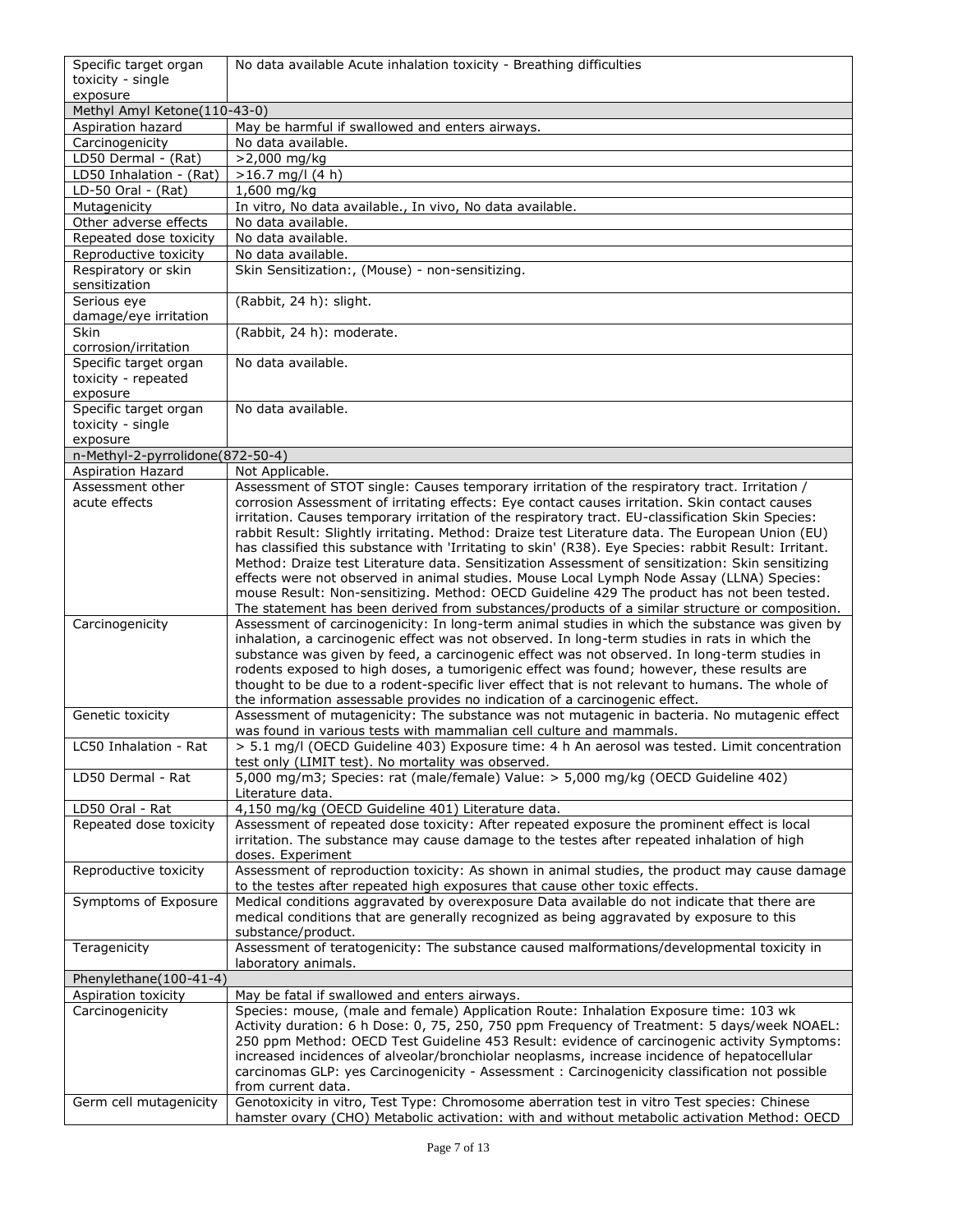| Specific target organ                    | No data available Acute inhalation toxicity - Breathing difficulties                                                                                                                                     |
|------------------------------------------|----------------------------------------------------------------------------------------------------------------------------------------------------------------------------------------------------------|
| toxicity - single                        |                                                                                                                                                                                                          |
| exposure<br>Methyl Amyl Ketone(110-43-0) |                                                                                                                                                                                                          |
| Aspiration hazard                        | May be harmful if swallowed and enters airways.                                                                                                                                                          |
| Carcinogenicity                          | No data available.                                                                                                                                                                                       |
| LD50 Dermal - (Rat)                      | >2,000 mg/kg                                                                                                                                                                                             |
| LD50 Inhalation - (Rat)                  | $>16.7$ mg/l (4 h)                                                                                                                                                                                       |
| LD-50 Oral - (Rat)                       | 1,600 mg/kg                                                                                                                                                                                              |
| Mutagenicity                             | In vitro, No data available., In vivo, No data available.                                                                                                                                                |
| Other adverse effects                    | No data available.                                                                                                                                                                                       |
| Repeated dose toxicity                   | No data available.                                                                                                                                                                                       |
| Reproductive toxicity                    | No data available.                                                                                                                                                                                       |
| Respiratory or skin<br>sensitization     | Skin Sensitization:, (Mouse) - non-sensitizing.                                                                                                                                                          |
| Serious eye                              | (Rabbit, 24 h): slight.                                                                                                                                                                                  |
| damage/eye irritation                    |                                                                                                                                                                                                          |
| <b>Skin</b>                              | (Rabbit, 24 h): moderate.                                                                                                                                                                                |
| corrosion/irritation                     |                                                                                                                                                                                                          |
| Specific target organ                    | No data available.                                                                                                                                                                                       |
| toxicity - repeated<br>exposure          |                                                                                                                                                                                                          |
| Specific target organ                    | No data available.                                                                                                                                                                                       |
| toxicity - single                        |                                                                                                                                                                                                          |
| exposure                                 |                                                                                                                                                                                                          |
| n-Methyl-2-pyrrolidone(872-50-4)         |                                                                                                                                                                                                          |
| Aspiration Hazard                        | Not Applicable.                                                                                                                                                                                          |
| Assessment other                         | Assessment of STOT single: Causes temporary irritation of the respiratory tract. Irritation /                                                                                                            |
| acute effects                            | corrosion Assessment of irritating effects: Eye contact causes irritation. Skin contact causes                                                                                                           |
|                                          | irritation. Causes temporary irritation of the respiratory tract. EU-classification Skin Species:                                                                                                        |
|                                          | rabbit Result: Slightly irritating. Method: Draize test Literature data. The European Union (EU)                                                                                                         |
|                                          | has classified this substance with 'Irritating to skin' (R38). Eye Species: rabbit Result: Irritant.<br>Method: Draize test Literature data. Sensitization Assessment of sensitization: Skin sensitizing |
|                                          | effects were not observed in animal studies. Mouse Local Lymph Node Assay (LLNA) Species:                                                                                                                |
|                                          | mouse Result: Non-sensitizing. Method: OECD Guideline 429 The product has not been tested.                                                                                                               |
|                                          | The statement has been derived from substances/products of a similar structure or composition.                                                                                                           |
| Carcinogenicity                          | Assessment of carcinogenicity: In long-term animal studies in which the substance was given by                                                                                                           |
|                                          | inhalation, a carcinogenic effect was not observed. In long-term studies in rats in which the                                                                                                            |
|                                          | substance was given by feed, a carcinogenic effect was not observed. In long-term studies in                                                                                                             |
|                                          | rodents exposed to high doses, a tumorigenic effect was found; however, these results are                                                                                                                |
|                                          | thought to be due to a rodent-specific liver effect that is not relevant to humans. The whole of<br>the information assessable provides no indication of a carcinogenic effect.                          |
| Genetic toxicity                         | Assessment of mutagenicity: The substance was not mutagenic in bacteria. No mutagenic effect                                                                                                             |
|                                          | was found in various tests with mammalian cell culture and mammals.                                                                                                                                      |
| LC50 Inhalation - Rat                    | > 5.1 mg/l (OECD Guideline 403) Exposure time: 4 h An aerosol was tested. Limit concentration                                                                                                            |
|                                          | test only (LIMIT test). No mortality was observed.                                                                                                                                                       |
| LD50 Dermal - Rat                        | 5,000 mg/m3; Species: rat (male/female) Value: > 5,000 mg/kg (OECD Guideline 402)                                                                                                                        |
|                                          | Literature data.                                                                                                                                                                                         |
| LD50 Oral - Rat                          | 4,150 mg/kg (OECD Guideline 401) Literature data.                                                                                                                                                        |
| Repeated dose toxicity                   | Assessment of repeated dose toxicity: After repeated exposure the prominent effect is local                                                                                                              |
|                                          | irritation. The substance may cause damage to the testes after repeated inhalation of high<br>doses. Experiment                                                                                          |
| Reproductive toxicity                    | Assessment of reproduction toxicity: As shown in animal studies, the product may cause damage                                                                                                            |
|                                          | to the testes after repeated high exposures that cause other toxic effects.                                                                                                                              |
| Symptoms of Exposure                     | Medical conditions aggravated by overexposure Data available do not indicate that there are                                                                                                              |
|                                          | medical conditions that are generally recognized as being aggravated by exposure to this                                                                                                                 |
|                                          | substance/product.                                                                                                                                                                                       |
| Teragenicity                             | Assessment of teratogenicity: The substance caused malformations/developmental toxicity in                                                                                                               |
|                                          | laboratory animals.                                                                                                                                                                                      |
| Phenylethane(100-41-4)                   |                                                                                                                                                                                                          |
| Aspiration toxicity<br>Carcinogenicity   | May be fatal if swallowed and enters airways.<br>Species: mouse, (male and female) Application Route: Inhalation Exposure time: 103 wk                                                                   |
|                                          | Activity duration: 6 h Dose: 0, 75, 250, 750 ppm Frequency of Treatment: 5 days/week NOAEL:                                                                                                              |
|                                          | 250 ppm Method: OECD Test Guideline 453 Result: evidence of carcinogenic activity Symptoms:                                                                                                              |
|                                          | increased incidences of alveolar/bronchiolar neoplasms, increase incidence of hepatocellular                                                                                                             |
|                                          | carcinomas GLP: yes Carcinogenicity - Assessment : Carcinogenicity classification not possible                                                                                                           |
|                                          | from current data.                                                                                                                                                                                       |
| Germ cell mutagenicity                   | Genotoxicity in vitro, Test Type: Chromosome aberration test in vitro Test species: Chinese                                                                                                              |
|                                          | hamster ovary (CHO) Metabolic activation: with and without metabolic activation Method: OECD                                                                                                             |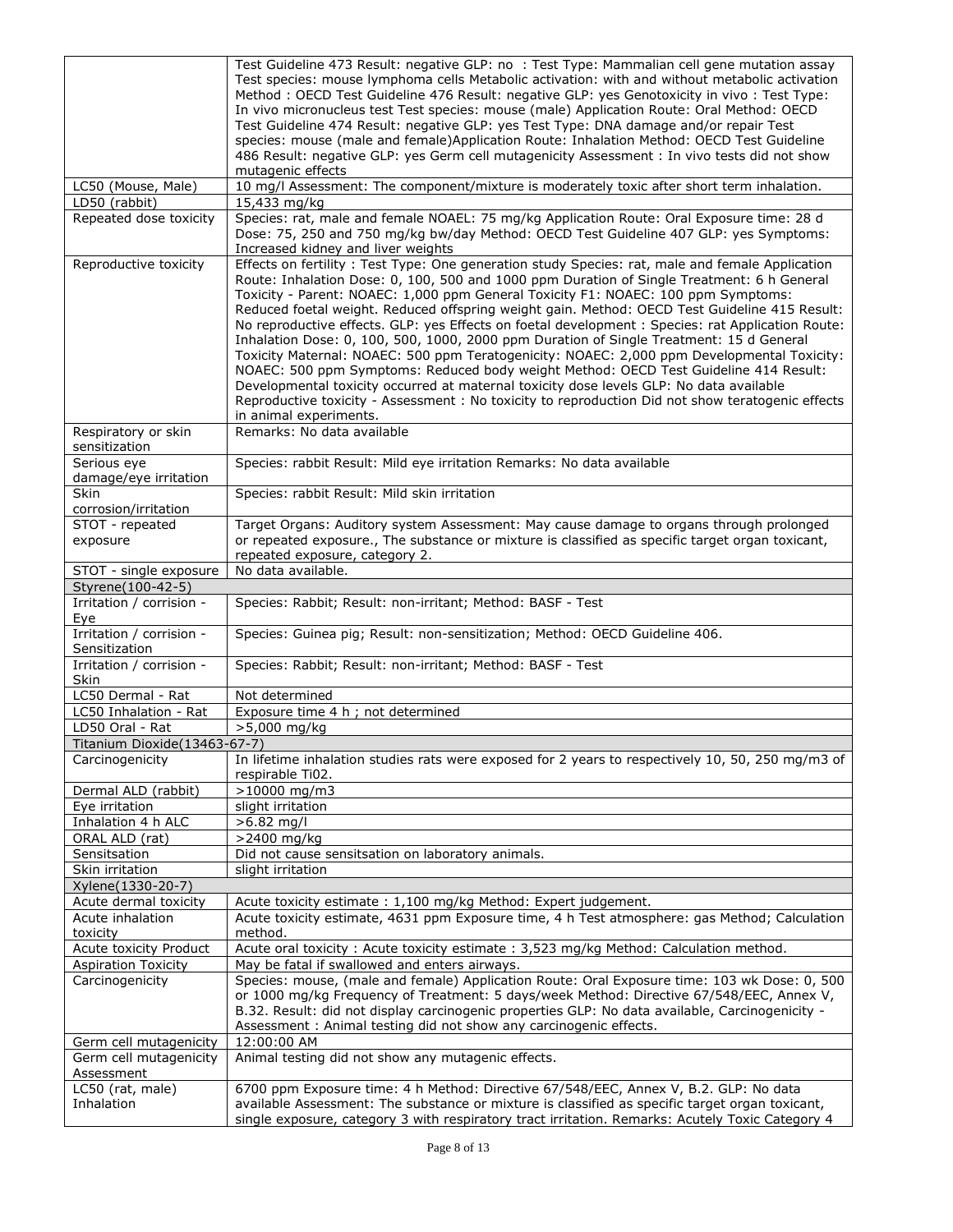|                                           | Test Guideline 473 Result: negative GLP: no: Test Type: Mammalian cell gene mutation assay                                                                                                  |
|-------------------------------------------|---------------------------------------------------------------------------------------------------------------------------------------------------------------------------------------------|
|                                           | Test species: mouse lymphoma cells Metabolic activation: with and without metabolic activation                                                                                              |
|                                           | Method: OECD Test Guideline 476 Result: negative GLP: yes Genotoxicity in vivo: Test Type:                                                                                                  |
|                                           | In vivo micronucleus test Test species: mouse (male) Application Route: Oral Method: OECD                                                                                                   |
|                                           | Test Guideline 474 Result: negative GLP: yes Test Type: DNA damage and/or repair Test<br>species: mouse (male and female)Application Route: Inhalation Method: OECD Test Guideline          |
|                                           | 486 Result: negative GLP: yes Germ cell mutagenicity Assessment : In vivo tests did not show                                                                                                |
|                                           | mutagenic effects                                                                                                                                                                           |
| LC50 (Mouse, Male)                        | 10 mg/l Assessment: The component/mixture is moderately toxic after short term inhalation.                                                                                                  |
| LD50 (rabbit)                             | 15,433 mg/kg                                                                                                                                                                                |
| Repeated dose toxicity                    | Species: rat, male and female NOAEL: 75 mg/kg Application Route: Oral Exposure time: 28 d                                                                                                   |
|                                           | Dose: 75, 250 and 750 mg/kg bw/day Method: OECD Test Guideline 407 GLP: yes Symptoms:                                                                                                       |
|                                           | Increased kidney and liver weights                                                                                                                                                          |
| Reproductive toxicity                     | Effects on fertility: Test Type: One generation study Species: rat, male and female Application                                                                                             |
|                                           | Route: Inhalation Dose: 0, 100, 500 and 1000 ppm Duration of Single Treatment: 6 h General                                                                                                  |
|                                           | Toxicity - Parent: NOAEC: 1,000 ppm General Toxicity F1: NOAEC: 100 ppm Symptoms:<br>Reduced foetal weight. Reduced offspring weight gain. Method: OECD Test Guideline 415 Result:          |
|                                           | No reproductive effects. GLP: yes Effects on foetal development : Species: rat Application Route:                                                                                           |
|                                           | Inhalation Dose: 0, 100, 500, 1000, 2000 ppm Duration of Single Treatment: 15 d General                                                                                                     |
|                                           | Toxicity Maternal: NOAEC: 500 ppm Teratogenicity: NOAEC: 2,000 ppm Developmental Toxicity:                                                                                                  |
|                                           | NOAEC: 500 ppm Symptoms: Reduced body weight Method: OECD Test Guideline 414 Result:                                                                                                        |
|                                           | Developmental toxicity occurred at maternal toxicity dose levels GLP: No data available                                                                                                     |
|                                           | Reproductive toxicity - Assessment: No toxicity to reproduction Did not show teratogenic effects                                                                                            |
|                                           | in animal experiments.                                                                                                                                                                      |
| Respiratory or skin                       | Remarks: No data available                                                                                                                                                                  |
| sensitization<br>Serious eye              | Species: rabbit Result: Mild eye irritation Remarks: No data available                                                                                                                      |
| damage/eye irritation                     |                                                                                                                                                                                             |
| <b>Skin</b>                               | Species: rabbit Result: Mild skin irritation                                                                                                                                                |
| corrosion/irritation                      |                                                                                                                                                                                             |
| STOT - repeated                           | Target Organs: Auditory system Assessment: May cause damage to organs through prolonged                                                                                                     |
|                                           |                                                                                                                                                                                             |
| exposure                                  | or repeated exposure., The substance or mixture is classified as specific target organ toxicant,                                                                                            |
|                                           | repeated exposure, category 2.                                                                                                                                                              |
| STOT - single exposure                    | No data available.                                                                                                                                                                          |
| Styrene(100-42-5)                         |                                                                                                                                                                                             |
| Irritation / corrision -                  | Species: Rabbit; Result: non-irritant; Method: BASF - Test                                                                                                                                  |
| Eye                                       |                                                                                                                                                                                             |
| Irritation / corrision -<br>Sensitization | Species: Guinea pig; Result: non-sensitization; Method: OECD Guideline 406.                                                                                                                 |
| Irritation / corrision -                  | Species: Rabbit; Result: non-irritant; Method: BASF - Test                                                                                                                                  |
| Skin                                      |                                                                                                                                                                                             |
| LC50 Dermal - Rat                         | Not determined                                                                                                                                                                              |
| LC50 Inhalation - Rat                     | Exposure time 4 h ; not determined                                                                                                                                                          |
| LD50 Oral - Rat                           | >5,000 mg/kg                                                                                                                                                                                |
| Titanium Dioxide(13463-67-7)              |                                                                                                                                                                                             |
| Carcinogenicity                           | In lifetime inhalation studies rats were exposed for 2 years to respectively 10, 50, 250 mg/m3 of                                                                                           |
|                                           | respirable Ti02.                                                                                                                                                                            |
| Dermal ALD (rabbit)                       | >10000 mg/m3                                                                                                                                                                                |
| Eye irritation<br>Inhalation 4 h ALC      | slight irritation                                                                                                                                                                           |
| ORAL ALD (rat)                            | $>6.82$ mg/l<br>>2400 mg/kg                                                                                                                                                                 |
| Sensitsation                              | Did not cause sensitsation on laboratory animals.                                                                                                                                           |
| Skin irritation                           | slight irritation                                                                                                                                                                           |
| Xylene(1330-20-7)                         |                                                                                                                                                                                             |
| Acute dermal toxicity                     | Acute toxicity estimate: 1,100 mg/kg Method: Expert judgement.                                                                                                                              |
| Acute inhalation                          | Acute toxicity estimate, 4631 ppm Exposure time, 4 h Test atmosphere: gas Method; Calculation                                                                                               |
| toxicity                                  | method.                                                                                                                                                                                     |
| <b>Acute toxicity Product</b>             | Acute oral toxicity : Acute toxicity estimate : 3,523 mg/kg Method: Calculation method.                                                                                                     |
| <b>Aspiration Toxicity</b>                | May be fatal if swallowed and enters airways.                                                                                                                                               |
| Carcinogenicity                           | Species: mouse, (male and female) Application Route: Oral Exposure time: 103 wk Dose: 0, 500                                                                                                |
|                                           | or 1000 mg/kg Frequency of Treatment: 5 days/week Method: Directive 67/548/EEC, Annex V,<br>B.32. Result: did not display carcinogenic properties GLP: No data available, Carcinogenicity - |
|                                           | Assessment: Animal testing did not show any carcinogenic effects.                                                                                                                           |
| Germ cell mutagenicity                    | 12:00:00 AM                                                                                                                                                                                 |
| Germ cell mutagenicity                    | Animal testing did not show any mutagenic effects.                                                                                                                                          |
| Assessment                                |                                                                                                                                                                                             |
| LC50 (rat, male)<br>Inhalation            | 6700 ppm Exposure time: 4 h Method: Directive 67/548/EEC, Annex V, B.2. GLP: No data<br>available Assessment: The substance or mixture is classified as specific target organ toxicant,     |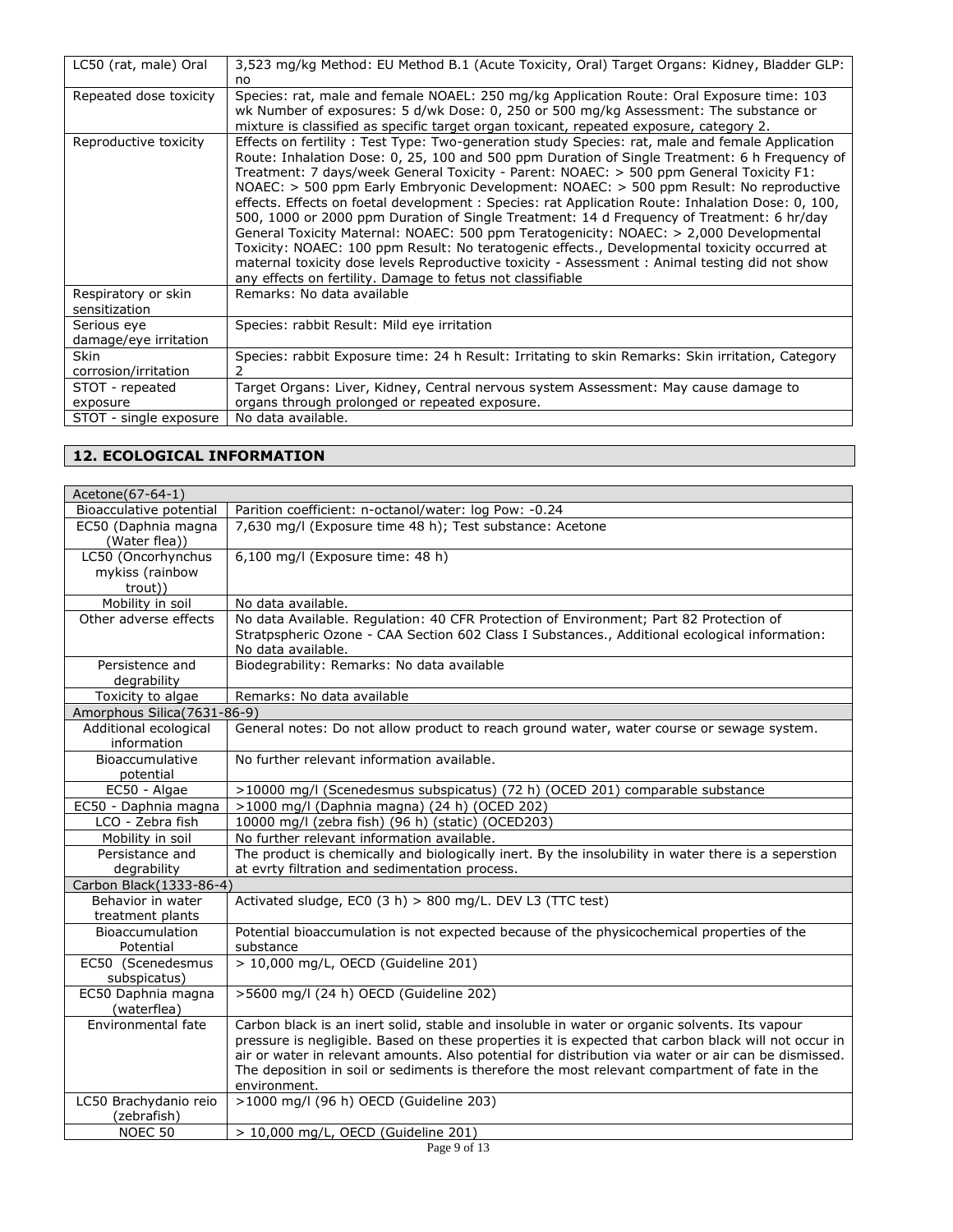| LC50 (rat, male) Oral                | 3,523 mg/kg Method: EU Method B.1 (Acute Toxicity, Oral) Target Organs: Kidney, Bladder GLP:<br>no                                                                                                                                                                                                                                                                                                                                                                                                                                                                                                                                                                                                                                                                                                                                                                                                                                                  |
|--------------------------------------|-----------------------------------------------------------------------------------------------------------------------------------------------------------------------------------------------------------------------------------------------------------------------------------------------------------------------------------------------------------------------------------------------------------------------------------------------------------------------------------------------------------------------------------------------------------------------------------------------------------------------------------------------------------------------------------------------------------------------------------------------------------------------------------------------------------------------------------------------------------------------------------------------------------------------------------------------------|
| Repeated dose toxicity               | Species: rat, male and female NOAEL: 250 mg/kg Application Route: Oral Exposure time: 103<br>wk Number of exposures: 5 d/wk Dose: 0, 250 or 500 mg/kg Assessment: The substance or<br>mixture is classified as specific target organ toxicant, repeated exposure, category 2.                                                                                                                                                                                                                                                                                                                                                                                                                                                                                                                                                                                                                                                                       |
| Reproductive toxicity                | Effects on fertility: Test Type: Two-generation study Species: rat, male and female Application<br>Route: Inhalation Dose: 0, 25, 100 and 500 ppm Duration of Single Treatment: 6 h Frequency of<br>Treatment: 7 days/week General Toxicity - Parent: NOAEC: > 500 ppm General Toxicity F1:<br>$NOAEC:$ > 500 ppm Early Embryonic Development: $NOAEC:$ > 500 ppm Result: No reproductive<br>effects. Effects on foetal development: Species: rat Application Route: Inhalation Dose: 0, 100,<br>500, 1000 or 2000 ppm Duration of Single Treatment: 14 d Frequency of Treatment: 6 hr/day<br>General Toxicity Maternal: NOAEC: 500 ppm Teratogenicity: NOAEC: > 2,000 Developmental<br>Toxicity: NOAEC: 100 ppm Result: No teratogenic effects., Developmental toxicity occurred at<br>maternal toxicity dose levels Reproductive toxicity - Assessment: Animal testing did not show<br>any effects on fertility. Damage to fetus not classifiable |
| Respiratory or skin<br>sensitization | Remarks: No data available                                                                                                                                                                                                                                                                                                                                                                                                                                                                                                                                                                                                                                                                                                                                                                                                                                                                                                                          |
| Serious eye<br>damage/eye irritation | Species: rabbit Result: Mild eye irritation                                                                                                                                                                                                                                                                                                                                                                                                                                                                                                                                                                                                                                                                                                                                                                                                                                                                                                         |
| <b>Skin</b>                          | Species: rabbit Exposure time: 24 h Result: Irritating to skin Remarks: Skin irritation, Category                                                                                                                                                                                                                                                                                                                                                                                                                                                                                                                                                                                                                                                                                                                                                                                                                                                   |
| corrosion/irritation                 |                                                                                                                                                                                                                                                                                                                                                                                                                                                                                                                                                                                                                                                                                                                                                                                                                                                                                                                                                     |
| STOT - repeated                      | Target Organs: Liver, Kidney, Central nervous system Assessment: May cause damage to                                                                                                                                                                                                                                                                                                                                                                                                                                                                                                                                                                                                                                                                                                                                                                                                                                                                |
| exposure                             | organs through prolonged or repeated exposure.                                                                                                                                                                                                                                                                                                                                                                                                                                                                                                                                                                                                                                                                                                                                                                                                                                                                                                      |
| STOT - single exposure               | No data available.                                                                                                                                                                                                                                                                                                                                                                                                                                                                                                                                                                                                                                                                                                                                                                                                                                                                                                                                  |

# **12. ECOLOGICAL INFORMATION**

| Acetone(67-64-1)                   |                                                                                                                     |
|------------------------------------|---------------------------------------------------------------------------------------------------------------------|
| Bioacculative potential            | Parition coefficient: n-octanol/water: log Pow: -0.24                                                               |
| EC50 (Daphnia magna                | 7,630 mg/l (Exposure time 48 h); Test substance: Acetone                                                            |
| (Water flea))                      |                                                                                                                     |
| LC50 (Oncorhynchus                 | 6,100 mg/l (Exposure time: 48 h)                                                                                    |
| mykiss (rainbow                    |                                                                                                                     |
| trout))                            |                                                                                                                     |
| Mobility in soil                   | No data available.                                                                                                  |
| Other adverse effects              | No data Available. Regulation: 40 CFR Protection of Environment; Part 82 Protection of                              |
|                                    | Stratpspheric Ozone - CAA Section 602 Class I Substances., Additional ecological information:<br>No data available. |
| Persistence and                    | Biodegrability: Remarks: No data available                                                                          |
| degrability                        |                                                                                                                     |
| Toxicity to algae                  | Remarks: No data available                                                                                          |
| Amorphous Silica(7631-86-9)        |                                                                                                                     |
| Additional ecological              | General notes: Do not allow product to reach ground water, water course or sewage system.                           |
| information                        |                                                                                                                     |
| Bioaccumulative                    | No further relevant information available.                                                                          |
| potential                          |                                                                                                                     |
| EC50 - Algae                       | >10000 mg/l (Scenedesmus subspicatus) (72 h) (OCED 201) comparable substance                                        |
| EC50 - Daphnia magna               | >1000 mg/l (Daphnia magna) (24 h) (OCED 202)                                                                        |
| LCO - Zebra fish                   | 10000 mg/l (zebra fish) (96 h) (static) (OCED203)                                                                   |
| Mobility in soil                   | No further relevant information available.                                                                          |
| Persistance and                    | The product is chemically and biologically inert. By the insolubility in water there is a seperstion                |
| degrability                        | at evrty filtration and sedimentation process.                                                                      |
| Carbon Black(1333-86-4)            |                                                                                                                     |
| Behavior in water                  | Activated sludge, EC0 (3 h) > 800 mg/L. DEV L3 (TTC test)                                                           |
| treatment plants                   |                                                                                                                     |
| Bioaccumulation                    | Potential bioaccumulation is not expected because of the physicochemical properties of the                          |
| Potential                          | substance                                                                                                           |
| EC50 (Scenedesmus                  | > 10,000 mg/L, OECD (Guideline 201)                                                                                 |
| subspicatus)<br>EC50 Daphnia magna | >5600 mg/l (24 h) OECD (Guideline 202)                                                                              |
| (waterflea)                        |                                                                                                                     |
| Environmental fate                 | Carbon black is an inert solid, stable and insoluble in water or organic solvents. Its vapour                       |
|                                    | pressure is negligible. Based on these properties it is expected that carbon black will not occur in                |
|                                    | air or water in relevant amounts. Also potential for distribution via water or air can be dismissed.                |
|                                    | The deposition in soil or sediments is therefore the most relevant compartment of fate in the                       |
|                                    | environment.                                                                                                        |
| LC50 Brachydanio reio              | >1000 mg/l (96 h) OECD (Guideline 203)                                                                              |
| (zebrafish)                        |                                                                                                                     |
| NOEC <sub>50</sub>                 | > 10,000 mg/L, OECD (Guideline 201)                                                                                 |
|                                    | Page 9 of 13                                                                                                        |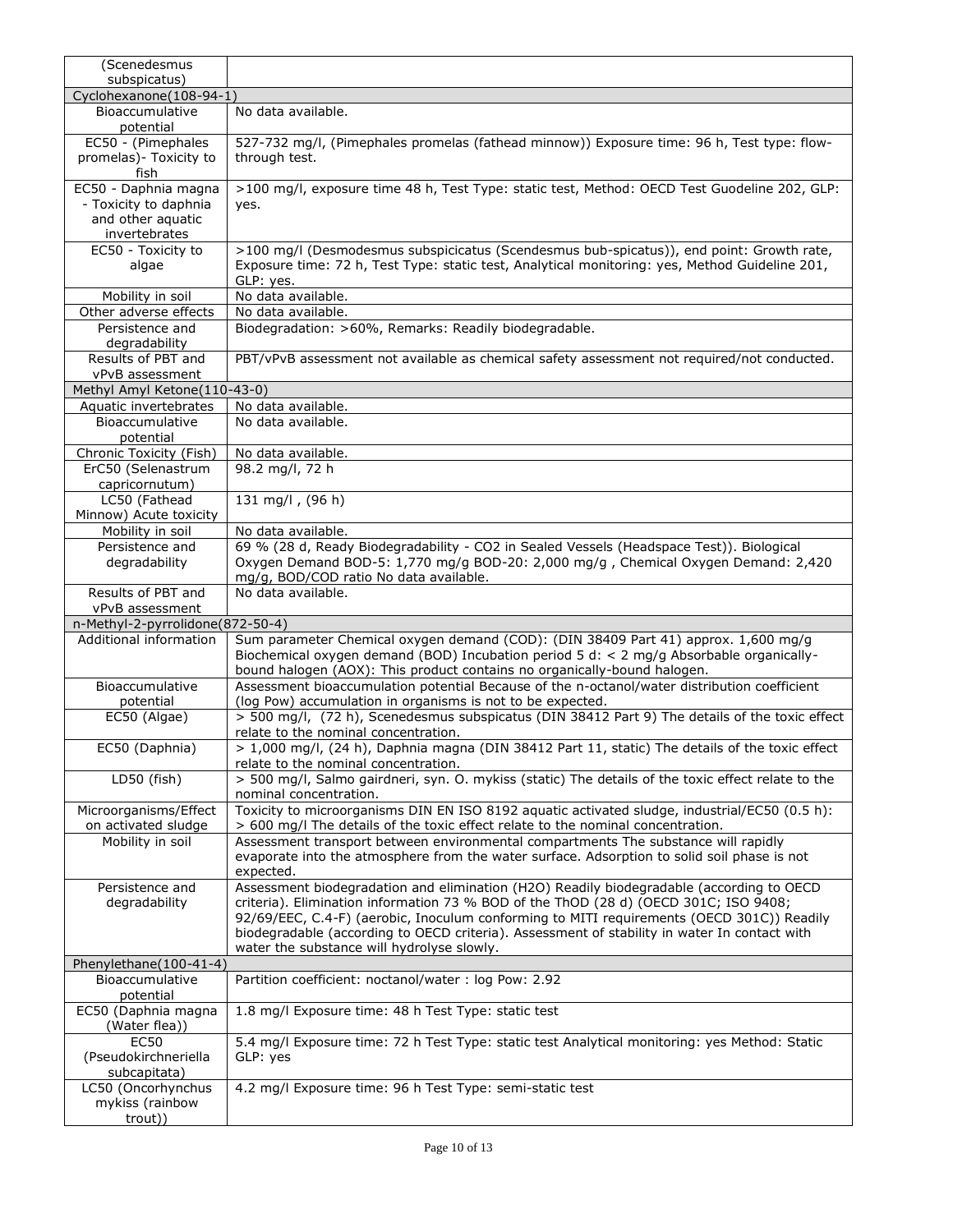| (Scenedesmus                                        |                                                                                                                                                                                            |
|-----------------------------------------------------|--------------------------------------------------------------------------------------------------------------------------------------------------------------------------------------------|
| subspicatus)                                        |                                                                                                                                                                                            |
| Cyclohexanone(108-94-1)<br>Bioaccumulative          | No data available.                                                                                                                                                                         |
| potential                                           |                                                                                                                                                                                            |
| EC50 - (Pimephales                                  | 527-732 mg/l, (Pimephales promelas (fathead minnow)) Exposure time: 96 h, Test type: flow-                                                                                                 |
| promelas) - Toxicity to                             | through test.                                                                                                                                                                              |
| fish<br>EC50 - Daphnia magna                        | >100 mg/l, exposure time 48 h, Test Type: static test, Method: OECD Test Guodeline 202, GLP:                                                                                               |
| - Toxicity to daphnia                               | yes.                                                                                                                                                                                       |
| and other aquatic                                   |                                                                                                                                                                                            |
| invertebrates                                       |                                                                                                                                                                                            |
| EC50 - Toxicity to<br>algae                         | >100 mg/l (Desmodesmus subspicicatus (Scendesmus bub-spicatus)), end point: Growth rate,<br>Exposure time: 72 h, Test Type: static test, Analytical monitoring: yes, Method Guideline 201, |
|                                                     | GLP: yes.                                                                                                                                                                                  |
| Mobility in soil                                    | No data available.                                                                                                                                                                         |
| Other adverse effects                               | No data available.                                                                                                                                                                         |
| Persistence and<br>degradability                    | Biodegradation: >60%, Remarks: Readily biodegradable.                                                                                                                                      |
| Results of PBT and                                  | PBT/vPvB assessment not available as chemical safety assessment not required/not conducted.                                                                                                |
| vPvB assessment                                     |                                                                                                                                                                                            |
| Methyl Amyl Ketone(110-43-0)                        |                                                                                                                                                                                            |
| Aquatic invertebrates                               | No data available.                                                                                                                                                                         |
| Bioaccumulative<br>potential                        | No data available.                                                                                                                                                                         |
| Chronic Toxicity (Fish)                             | No data available.                                                                                                                                                                         |
| ErC50 (Selenastrum                                  | 98.2 mg/l, 72 h                                                                                                                                                                            |
| capricornutum)                                      |                                                                                                                                                                                            |
| LC50 (Fathead                                       | 131 mg/l, (96 h)                                                                                                                                                                           |
| Minnow) Acute toxicity<br>Mobility in soil          | No data available.                                                                                                                                                                         |
| Persistence and                                     | 69 % (28 d, Ready Biodegradability - CO2 in Sealed Vessels (Headspace Test)). Biological                                                                                                   |
| degradability                                       | Oxygen Demand BOD-5: 1,770 mg/g BOD-20: 2,000 mg/g, Chemical Oxygen Demand: 2,420                                                                                                          |
|                                                     | mg/g, BOD/COD ratio No data available.                                                                                                                                                     |
| Results of PBT and                                  | No data available.                                                                                                                                                                         |
| vPvB assessment<br>n-Methyl-2-pyrrolidone(872-50-4) |                                                                                                                                                                                            |
| Additional information                              | Sum parameter Chemical oxygen demand (COD): (DIN 38409 Part 41) approx. 1,600 mg/g                                                                                                         |
|                                                     | Biochemical oxygen demand (BOD) Incubation period 5 d: < 2 mg/g Absorbable organically-<br>bound halogen (AOX): This product contains no organically-bound halogen.                        |
| Bioaccumulative<br>potential                        | Assessment bioaccumulation potential Because of the n-octanol/water distribution coefficient<br>(log Pow) accumulation in organisms is not to be expected.                                 |
| EC50 (Algae)                                        | > 500 mg/l, (72 h), Scenedesmus subspicatus (DIN 38412 Part 9) The details of the toxic effect                                                                                             |
|                                                     | relate to the nominal concentration.                                                                                                                                                       |
| EC50 (Daphnia)                                      | > 1,000 mg/l, (24 h), Daphnia magna (DIN 38412 Part 11, static) The details of the toxic effect                                                                                            |
| LD50 (fish)                                         | relate to the nominal concentration.<br>> 500 mg/l, Salmo gairdneri, syn. O. mykiss (static) The details of the toxic effect relate to the                                                 |
|                                                     | nominal concentration.                                                                                                                                                                     |
| Microorganisms/Effect<br>on activated sludge        | Toxicity to microorganisms DIN EN ISO 8192 aquatic activated sludge, industrial/EC50 (0.5 h):                                                                                              |
|                                                     |                                                                                                                                                                                            |
|                                                     | > 600 mg/l The details of the toxic effect relate to the nominal concentration.                                                                                                            |
| Mobility in soil                                    | Assessment transport between environmental compartments The substance will rapidly<br>evaporate into the atmosphere from the water surface. Adsorption to solid soil phase is not          |
|                                                     | expected.                                                                                                                                                                                  |
| Persistence and<br>degradability                    | Assessment biodegradation and elimination (H2O) Readily biodegradable (according to OECD                                                                                                   |
|                                                     | criteria). Elimination information 73 % BOD of the ThOD (28 d) (OECD 301C; ISO 9408;<br>92/69/EEC, C.4-F) (aerobic, Inoculum conforming to MITI requirements (OECD 301C)) Readily          |
|                                                     | biodegradable (according to OECD criteria). Assessment of stability in water In contact with                                                                                               |
|                                                     | water the substance will hydrolyse slowly.                                                                                                                                                 |
| Phenylethane(100-41-4)                              |                                                                                                                                                                                            |
| Bioaccumulative<br>potential                        | Partition coefficient: noctanol/water: log Pow: 2.92                                                                                                                                       |
| EC50 (Daphnia magna<br>(Water flea))                | 1.8 mg/l Exposure time: 48 h Test Type: static test                                                                                                                                        |
| <b>EC50</b>                                         | 5.4 mg/l Exposure time: 72 h Test Type: static test Analytical monitoring: yes Method: Static                                                                                              |
| (Pseudokirchneriella                                | GLP: yes                                                                                                                                                                                   |
| subcapitata)                                        |                                                                                                                                                                                            |
| LC50 (Oncorhynchus<br>mykiss (rainbow               | 4.2 mg/l Exposure time: 96 h Test Type: semi-static test                                                                                                                                   |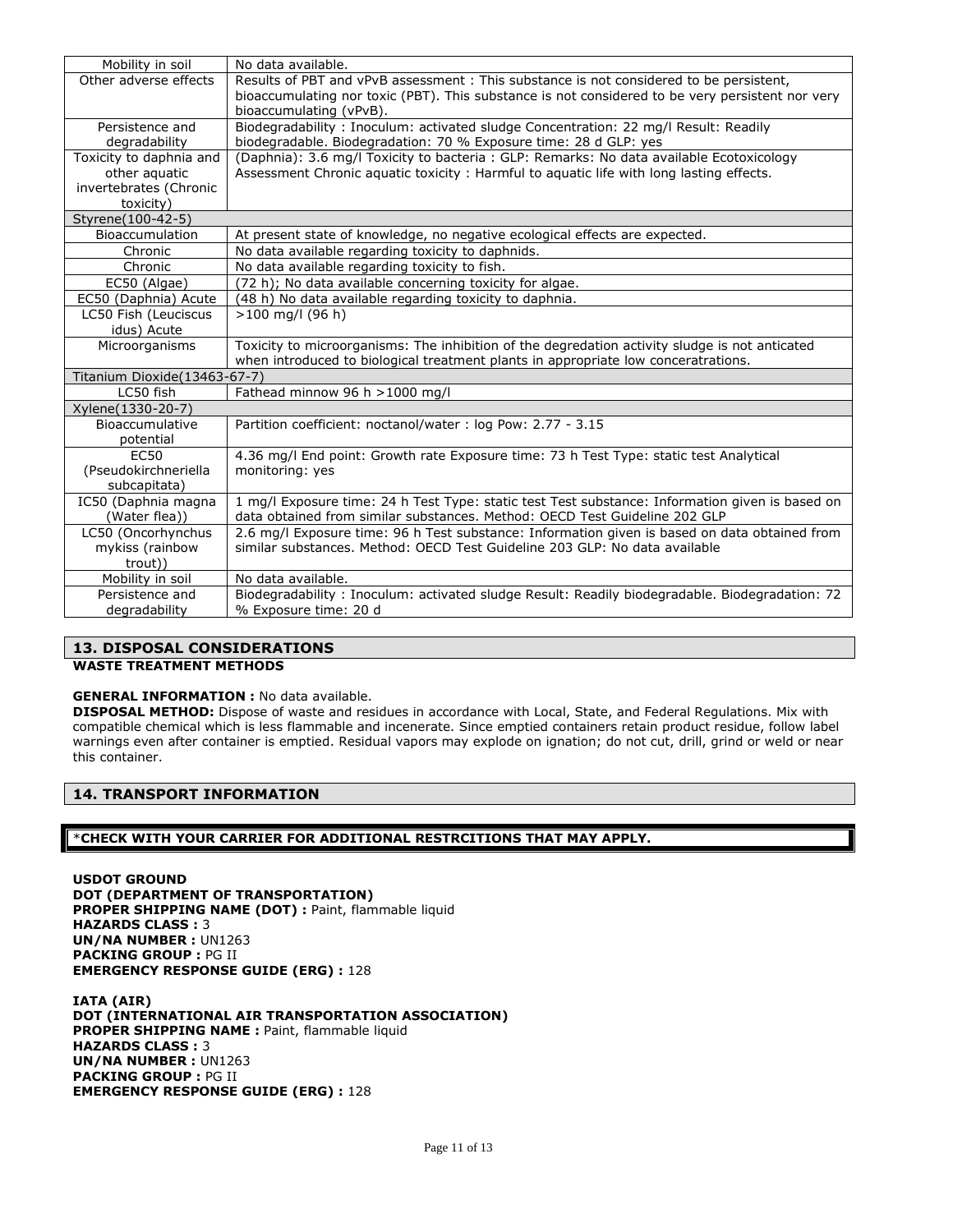| Mobility in soil             | No data available.                                                                               |
|------------------------------|--------------------------------------------------------------------------------------------------|
| Other adverse effects        | Results of PBT and vPvB assessment: This substance is not considered to be persistent,           |
|                              | bioaccumulating nor toxic (PBT). This substance is not considered to be very persistent nor very |
|                              | bioaccumulating (vPvB).                                                                          |
| Persistence and              | Biodegradability: Inoculum: activated sludge Concentration: 22 mg/l Result: Readily              |
| degradability                | biodegradable. Biodegradation: 70 % Exposure time: 28 d GLP: yes                                 |
| Toxicity to daphnia and      | (Daphnia): 3.6 mg/l Toxicity to bacteria: GLP: Remarks: No data available Ecotoxicology          |
| other aquatic                | Assessment Chronic aquatic toxicity: Harmful to aquatic life with long lasting effects.          |
| invertebrates (Chronic       |                                                                                                  |
| toxicity)                    |                                                                                                  |
| Styrene(100-42-5)            |                                                                                                  |
| Bioaccumulation              | At present state of knowledge, no negative ecological effects are expected.                      |
| Chronic                      | No data available regarding toxicity to daphnids.                                                |
| Chronic                      | No data available regarding toxicity to fish.                                                    |
| EC50 (Algae)                 | (72 h); No data available concerning toxicity for algae.                                         |
| EC50 (Daphnia) Acute         | (48 h) No data available regarding toxicity to daphnia.                                          |
| LC50 Fish (Leuciscus         | $>100$ mg/l (96 h)                                                                               |
| idus) Acute                  |                                                                                                  |
| Microorganisms               | Toxicity to microorganisms: The inhibition of the degredation activity sludge is not anticated   |
|                              | when introduced to biological treatment plants in appropriate low conceratrations.               |
| Titanium Dioxide(13463-67-7) |                                                                                                  |
| LC50 fish                    | Fathead minnow 96 h >1000 mg/l                                                                   |
| Xylene(1330-20-7)            |                                                                                                  |
| Bioaccumulative              | Partition coefficient: noctanol/water: log Pow: 2.77 - 3.15                                      |
| potential                    |                                                                                                  |
| <b>EC50</b>                  | 4.36 mg/l End point: Growth rate Exposure time: 73 h Test Type: static test Analytical           |
| (Pseudokirchneriella         | monitoring: yes                                                                                  |
| subcapitata)                 |                                                                                                  |
| IC50 (Daphnia magna          | 1 mg/l Exposure time: 24 h Test Type: static test Test substance: Information given is based on  |
| (Water flea))                | data obtained from similar substances. Method: OECD Test Guideline 202 GLP                       |
| LC50 (Oncorhynchus           | 2.6 mg/l Exposure time: 96 h Test substance: Information given is based on data obtained from    |
| mykiss (rainbow              | similar substances. Method: OECD Test Guideline 203 GLP: No data available                       |
| trout))                      |                                                                                                  |
| Mobility in soil             | No data available.                                                                               |
| Persistence and              | Biodegradability: Inoculum: activated sludge Result: Readily biodegradable. Biodegradation: 72   |
| degradability                | % Exposure time: 20 d                                                                            |

# **13. DISPOSAL CONSIDERATIONS**

### **WASTE TREATMENT METHODS**

### **GENERAL INFORMATION :** No data available.

**DISPOSAL METHOD:** Dispose of waste and residues in accordance with Local, State, and Federal Regulations. Mix with compatible chemical which is less flammable and incenerate. Since emptied containers retain product residue, follow label warnings even after container is emptied. Residual vapors may explode on ignation; do not cut, drill, grind or weld or near this container.

# **14. TRANSPORT INFORMATION**

### \***CHECK WITH YOUR CARRIER FOR ADDITIONAL RESTRCITIONS THAT MAY APPLY.**

**USDOT GROUND DOT (DEPARTMENT OF TRANSPORTATION) PROPER SHIPPING NAME (DOT) :** Paint, flammable liquid **HAZARDS CLASS :** 3 **UN/NA NUMBER :** UN1263 **PACKING GROUP :** PG II **EMERGENCY RESPONSE GUIDE (ERG) :** 128

**IATA (AIR) DOT (INTERNATIONAL AIR TRANSPORTATION ASSOCIATION)** PROPER SHIPPING NAME : Paint, flammable liquid **HAZARDS CLASS :** 3 **UN/NA NUMBER :** UN1263 **PACKING GROUP :** PG II **EMERGENCY RESPONSE GUIDE (ERG) :** 128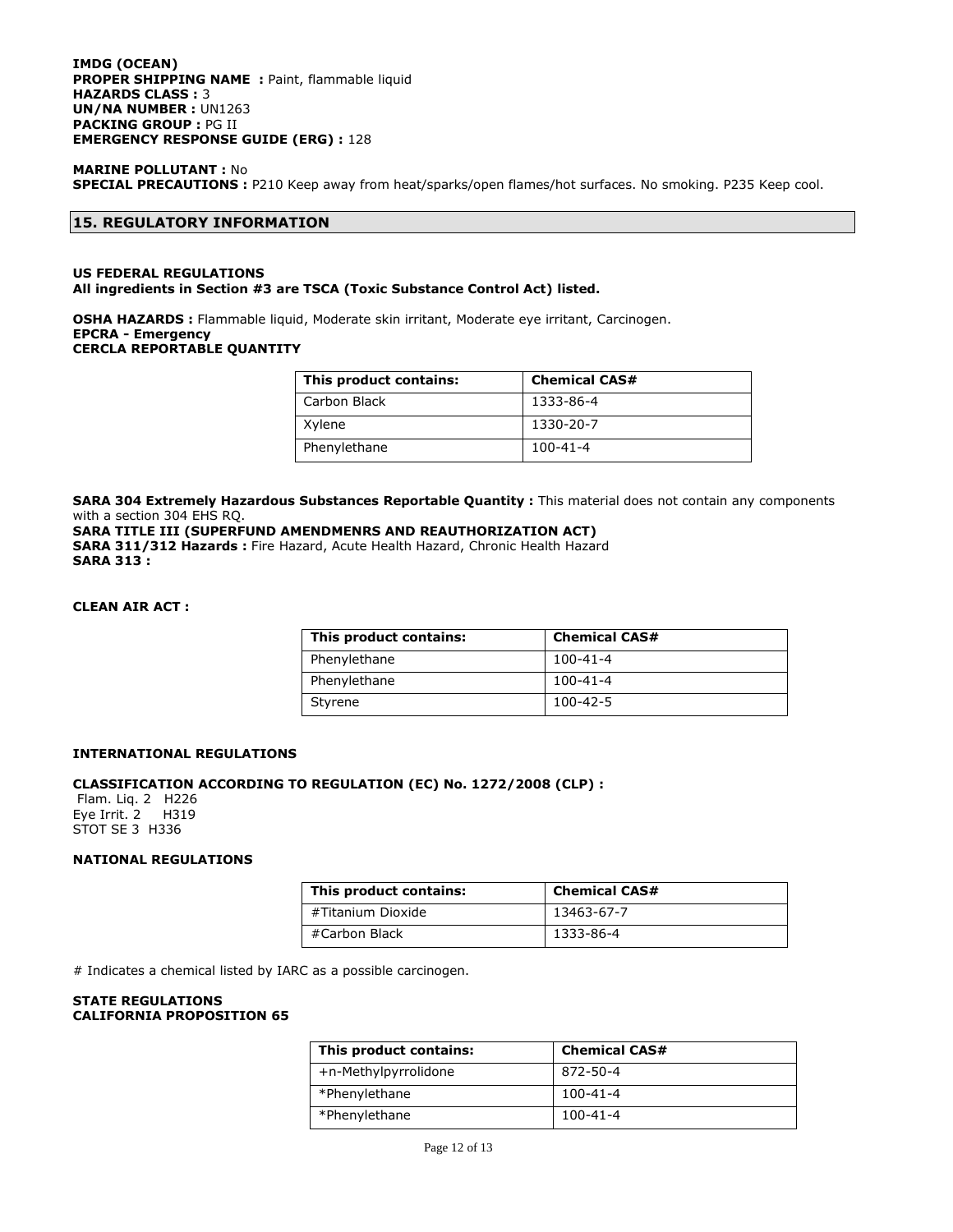**IMDG (OCEAN) PROPER SHIPPING NAME : Paint, flammable liquid HAZARDS CLASS :** 3 **UN/NA NUMBER :** UN1263 **PACKING GROUP :** PG II **EMERGENCY RESPONSE GUIDE (ERG) :** 128

**MARINE POLLUTANT :** No **SPECIAL PRECAUTIONS :** P210 Keep away from heat/sparks/open flames/hot surfaces. No smoking. P235 Keep cool.

# **15. REGULATORY INFORMATION**

### **US FEDERAL REGULATIONS All ingredients in Section #3 are TSCA (Toxic Substance Control Act) listed.**

**OSHA HAZARDS :** Flammable liquid, Moderate skin irritant, Moderate eye irritant, Carcinogen. **EPCRA - Emergency CERCLA REPORTABLE QUANTITY**

| This product contains: | <b>Chemical CAS#</b> |
|------------------------|----------------------|
| Carbon Black           | 1333-86-4            |
| Xylene                 | 1330-20-7            |
| Phenylethane           | $100 - 41 - 4$       |

**SARA 304 Extremely Hazardous Substances Reportable Quantity :** This material does not contain any components with a section 304 EHS RQ.

# **SARA TITLE III (SUPERFUND AMENDMENRS AND REAUTHORIZATION ACT)**

**SARA 311/312 Hazards :** Fire Hazard, Acute Health Hazard, Chronic Health Hazard **SARA 313 :**

### **CLEAN AIR ACT :**

| This product contains: | <b>Chemical CAS#</b> |
|------------------------|----------------------|
| Phenylethane           | $100 - 41 - 4$       |
| Phenylethane           | $100 - 41 - 4$       |
| Styrene                | 100-42-5             |

### **INTERNATIONAL REGULATIONS**

### **CLASSIFICATION ACCORDING TO REGULATION (EC) No. 1272/2008 (CLP) :**

Flam. Liq. 2 H226 Eye Irrit. 2 H319 STOT SE 3 H336

### **NATIONAL REGULATIONS**

| This product contains: | <b>Chemical CAS#</b> |
|------------------------|----------------------|
| #Titanium Dioxide      | 13463-67-7           |
| #Carbon Black          | 1333-86-4            |

# Indicates a chemical listed by IARC as a possible carcinogen.

#### **STATE REGULATIONS CALIFORNIA PROPOSITION 65**

| This product contains: | <b>Chemical CAS#</b> |
|------------------------|----------------------|
| +n-Methylpyrrolidone   | 872-50-4             |
| *Phenylethane          | $100 - 41 - 4$       |
| *Phenylethane          | $100 - 41 - 4$       |